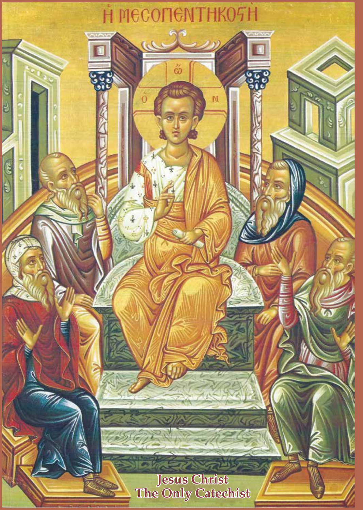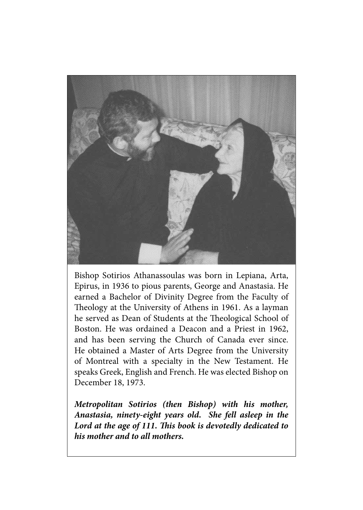

Bishop Sotirios Athanassoulas was born in Lepiana, Arta, Epirus, in 1936 to pious parents, George and Anastasia. He earned a Bachelor of Divinity Degree from the Faculty of Theology at the University of Athens in 1961. As a layman he served as Dean of Students at the Theological School of Boston. He was ordained a Deacon and a Priest in 1962, and has been serving the Church of Canada ever since. He obtained a Master of Arts Degree from the University of Montreal with a specialty in the New Testament. He speaks Greek, English and French. He was elected Bishop on December 18, 1973.

*Metropolitan Sotirios (then Bishop) with his mother, Anastasia, ninety-eight years old. She fell asleep in the Lord at the age of 111. This book is devotedly dedicated to his mother and to all mothers.*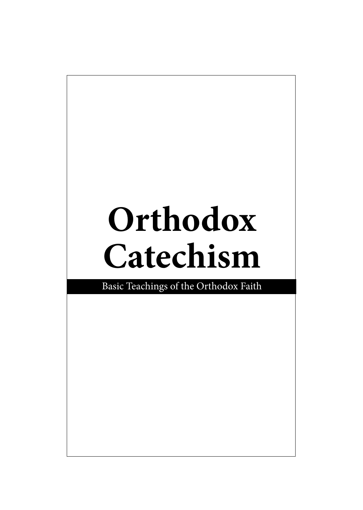# **Orthodox Catechism**

Basic Teachings of the Orthodox Faith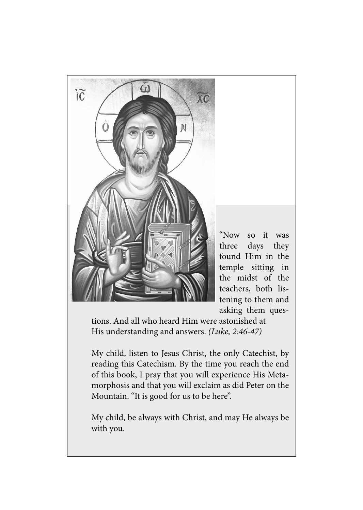

tions. And all who heard Him were astonished at His understanding and answers. *(Luke, 2:46-47)*

My child, listen to Jesus Christ, the only Catechist, by reading this Catechism. By the time you reach the end of this book, I pray that you will experience His Metamorphosis and that you will exclaim as did Peter on the Mountain. "It is good for us to be here".

My child, be always with Christ, and may He always be with you.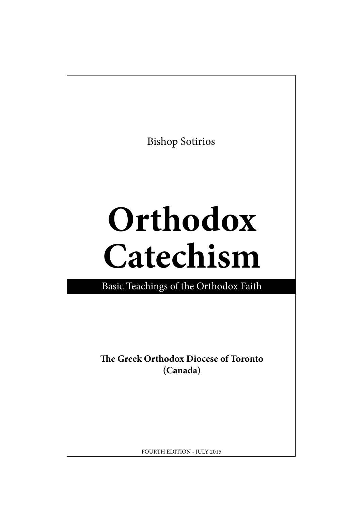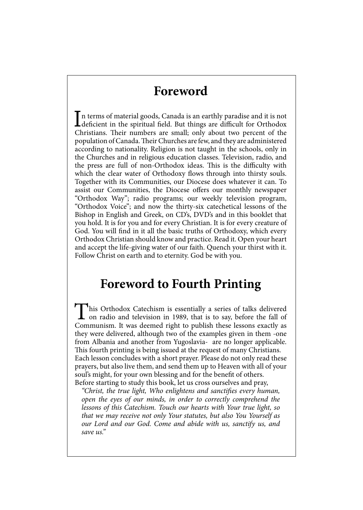#### **Foreword**

In terms of material goods, Canada is an earthly paradise and it is not<br>deficient in the spiritual field. But things are difficult for Orthodox<br>Christians. Their numbers are small: only about two percent of the deficient in the spiritual field. But things are difficult for Orthodox Christians. Their numbers are small; only about two percent of the population of Canada. Their Churches are few, and they are administered according to nationality. Religion is not taught in the schools, only in the Churches and in religious education classes. Television, radio, and the press are full of non-Orthodox ideas. This is the difficulty with which the clear water of Orthodoxy flows through into thirsty souls. Together with its Communities, our Diocese does whatever it can. To assist our Communities, the Diocese offers our monthly newspaper "Orthodox Way"; radio programs; our weekly television program, "Orthodox Voice"; and now the thirty-six catechetical lessons of the Bishop in English and Greek, on CD's, DVD's and in this booklet that you hold. It is for you and for every Christian. It is for every creature of God. You will find in it all the basic truths of Orthodoxy, which every Orthodox Christian should know and practice. Read it. Open your heart and accept the life-giving water of our faith. Quench your thirst with it. Follow Christ on earth and to eternity. God be with you.

#### **Foreword to Fourth Printing**

This Orthodox Catechism is essentially a series of talks delivered on radio and television in 1989, that is to say, before the fall of Communism. It was deemed right to publish these lessons exactly as they were delivered, although two of the examples given in them -one from Albania and another from Yugoslavia- are no longer applicable. This fourth printing is being issued at the request of many Christians. Each lesson concludes with a short prayer. Please do not only read these prayers, but also live them, and send them up to Heaven with all of your soul's might, for your own blessing and for the benefit of others. Before starting to study this book, let us cross ourselves and pray,

*"Christ, the true light, Who enlightens and sanctifies every human, open the eyes of our minds, in order to correctly comprehend the lessons of this Catechism. Touch our hearts with Your true light, so that we may receive not only Your statutes, but also You Yourself as our Lord and our God. Come and abide with us, sanctify us, and save us."*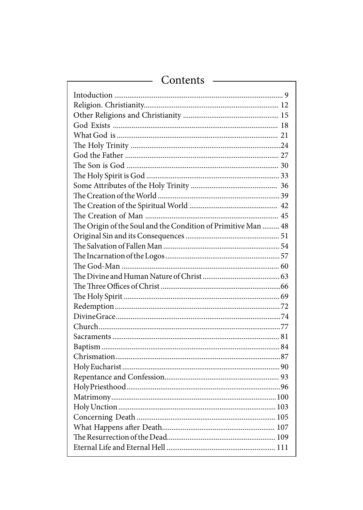| Contents |
|----------|
|----------|

| The Origin of the Soul and the Condition of Primitive Man  48 |
|---------------------------------------------------------------|
|                                                               |
|                                                               |
|                                                               |
|                                                               |
|                                                               |
|                                                               |
|                                                               |
|                                                               |
|                                                               |
|                                                               |
|                                                               |
|                                                               |
|                                                               |
|                                                               |
|                                                               |
|                                                               |
|                                                               |
|                                                               |
|                                                               |
|                                                               |
|                                                               |
|                                                               |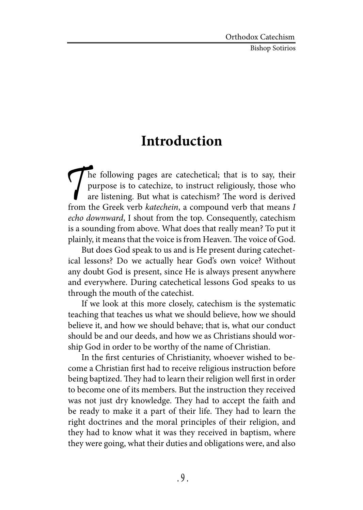Bishop Sotirios

### **Introduction**

The following pages are catechetical; that is to say, their purpose is to catechize, to instruct religiously, those who are listening. But what is catechism? The word is derived from the Greek verb *katechein*, a compound purpose is to catechize, to instruct religiously, those who are listening. But what is catechism? The word is derived from the Greek verb *katechein*, a compound verb that means *I echo downward*, I shout from the top. Consequently, catechism is a sounding from above. What does that really mean? To put it plainly, it means that the voice is from Heaven. The voice of God.

But does God speak to us and is He present during catechetical lessons? Do we actually hear God's own voice? Without any doubt God is present, since He is always present anywhere and everywhere. During catechetical lessons God speaks to us through the mouth of the catechist.

If we look at this more closely, catechism is the systematic teaching that teaches us what we should believe, how we should believe it, and how we should behave; that is, what our conduct should be and our deeds, and how we as Christians should worship God in order to be worthy of the name of Christian.

In the first centuries of Christianity, whoever wished to become a Christian first had to receive religious instruction before being baptized. They had to learn their religion well first in order to become one of its members. But the instruction they received was not just dry knowledge. They had to accept the faith and be ready to make it a part of their life. They had to learn the right doctrines and the moral principles of their religion, and they had to know what it was they received in baptism, where they were going, what their duties and obligations were, and also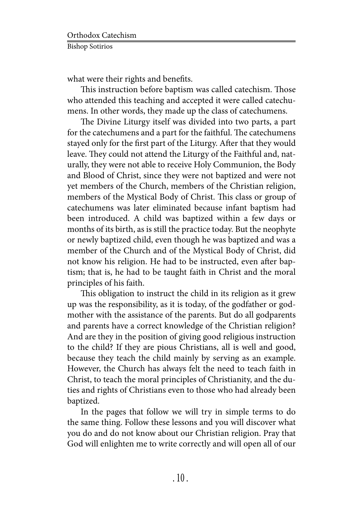what were their rights and benefits.

This instruction before baptism was called catechism. Those who attended this teaching and accepted it were called catechumens. In other words, they made up the class of catechumens.

The Divine Liturgy itself was divided into two parts, a part for the catechumens and a part for the faithful. The catechumens stayed only for the first part of the Liturgy. After that they would leave. They could not attend the Liturgy of the Faithful and, naturally, they were not able to receive Holy Communion, the Body and Blood of Christ, since they were not baptized and were not yet members of the Church, members of the Christian religion, members of the Mystical Body of Christ. This class or group of catechumens was later eliminated because infant baptism had been introduced. A child was baptized within a few days or months of its birth, as is still the practice today. But the neophyte or newly baptized child, even though he was baptized and was a member of the Church and of the Mystical Body of Christ, did not know his religion. He had to be instructed, even after baptism; that is, he had to be taught faith in Christ and the moral principles of his faith.

This obligation to instruct the child in its religion as it grew up was the responsibility, as it is today, of the godfather or godmother with the assistance of the parents. But do all godparents and parents have a correct knowledge of the Christian religion? And are they in the position of giving good religious instruction to the child? If they are pious Christians, all is well and good, because they teach the child mainly by serving as an example. However, the Church has always felt the need to teach faith in Christ, to teach the moral principles of Christianity, and the duties and rights of Christians even to those who had already been baptized.

In the pages that follow we will try in simple terms to do the same thing. Follow these lessons and you will discover what you do and do not know about our Christian religion. Pray that God will enlighten me to write correctly and will open all of our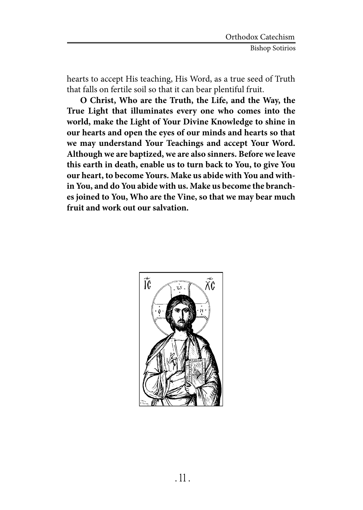hearts to accept His teaching, His Word, as a true seed of Truth that falls on fertile soil so that it can bear plentiful fruit.

**O Christ, Who are the Truth, the Life, and the Way, the True Light that illuminates every one who comes into the world, make the Light of Your Divine Knowledge to shine in our hearts and open the eyes of our minds and hearts so that we may understand Your Teachings and accept Your Word. Although we are baptized, we are also sinners. Before we leave this earth in death, enable us to turn back to You, to give You our heart, to become Yours. Make us abide with You and within You, and do You abide with us. Make us become the branches joined to You, Who are the Vine, so that we may bear much fruit and work out our salvation.**

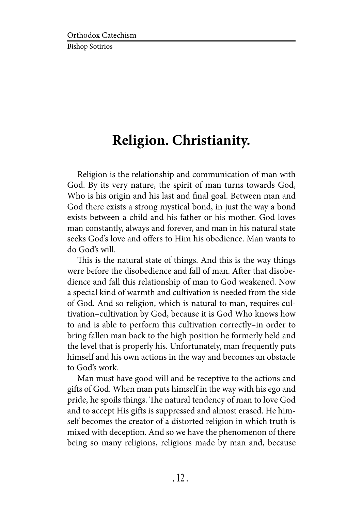## **Religion. Christianity.**

Religion is the relationship and communication of man with God. By its very nature, the spirit of man turns towards God, Who is his origin and his last and final goal. Between man and God there exists a strong mystical bond, in just the way a bond exists between a child and his father or his mother. God loves man constantly, always and forever, and man in his natural state seeks God's love and offers to Him his obedience. Man wants to do God's will.

This is the natural state of things. And this is the way things were before the disobedience and fall of man. After that disobedience and fall this relationship of man to God weakened. Now a special kind of warmth and cultivation is needed from the side of God. And so religion, which is natural to man, requires cultivation–cultivation by God, because it is God Who knows how to and is able to perform this cultivation correctly–in order to bring fallen man back to the high position he formerly held and the level that is properly his. Unfortunately, man frequently puts himself and his own actions in the way and becomes an obstacle to God's work.

Man must have good will and be receptive to the actions and gifts of God. When man puts himself in the way with his ego and pride, he spoils things. The natural tendency of man to love God and to accept His gifts is suppressed and almost erased. He himself becomes the creator of a distorted religion in which truth is mixed with deception. And so we have the phenomenon of there being so many religions, religions made by man and, because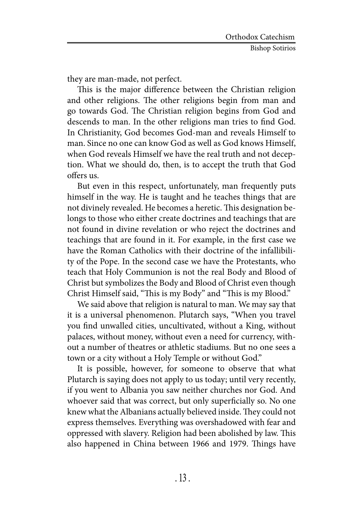they are man-made, not perfect.

This is the major difference between the Christian religion and other religions. The other religions begin from man and go towards God. The Christian religion begins from God and descends to man. In the other religions man tries to find God. In Christianity, God becomes God-man and reveals Himself to man. Since no one can know God as well as God knows Himself, when God reveals Himself we have the real truth and not deception. What we should do, then, is to accept the truth that God offers us.

But even in this respect, unfortunately, man frequently puts himself in the way. He is taught and he teaches things that are not divinely revealed. He becomes a heretic. This designation belongs to those who either create doctrines and teachings that are not found in divine revelation or who reject the doctrines and teachings that are found in it. For example, in the first case we have the Roman Catholics with their doctrine of the infallibility of the Pope. In the second case we have the Protestants, who teach that Holy Communion is not the real Body and Blood of Christ but symbolizes the Body and Blood of Christ even though Christ Himself said, "This is my Body" and "This is my Blood."

We said above that religion is natural to man. We may say that it is a universal phenomenon. Plutarch says, "When you travel you find unwalled cities, uncultivated, without a King, without palaces, without money, without even a need for currency, without a number of theatres or athletic stadiums. But no one sees a town or a city without a Holy Temple or without God."

It is possible, however, for someone to observe that what Plutarch is saying does not apply to us today; until very recently, if you went to Albania you saw neither churches nor God. And whoever said that was correct, but only superficially so. No one knew what the Albanians actually believed inside. They could not express themselves. Everything was overshadowed with fear and oppressed with slavery. Religion had been abolished by law. This also happened in China between 1966 and 1979. Things have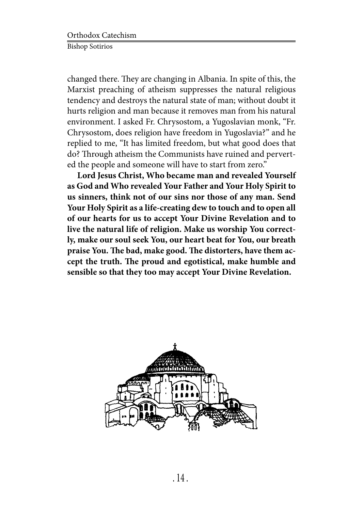changed there. They are changing in Albania. In spite of this, the Marxist preaching of atheism suppresses the natural religious tendency and destroys the natural state of man; without doubt it hurts religion and man because it removes man from his natural environment. I asked Fr. Chrysostom, a Yugoslavian monk, "Fr. Chrysostom, does religion have freedom in Yugoslavia?" and he replied to me, "It has limited freedom, but what good does that do? Through atheism the Communists have ruined and perverted the people and someone will have to start from zero."

**Lord Jesus Christ, Who became man and revealed Yourself as God and Who revealed Your Father and Your Holy Spirit to us sinners, think not of our sins nor those of any man. Send Your Holy Spirit as a life-creating dew to touch and to open all of our hearts for us to accept Your Divine Revelation and to live the natural life of religion. Make us worship You correctly, make our soul seek You, our heart beat for You, our breath praise You. The bad, make good. The distorters, have them accept the truth. The proud and egotistical, make humble and sensible so that they too may accept Your Divine Revelation.**

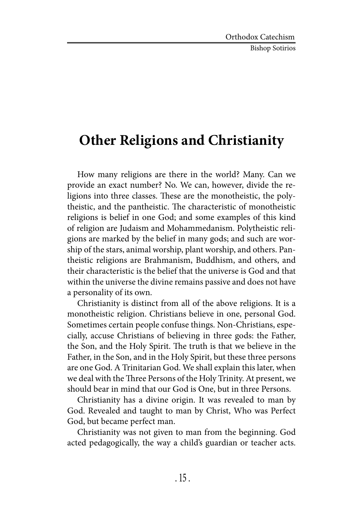Bishop Sotirios

## **Other Religions and Christianity**

How many religions are there in the world? Many. Can we provide an exact number? No. We can, however, divide the religions into three classes. These are the monotheistic, the polytheistic, and the pantheistic. The characteristic of monotheistic religions is belief in one God; and some examples of this kind of religion are Judaism and Mohammedanism. Polytheistic religions are marked by the belief in many gods; and such are worship of the stars, animal worship, plant worship, and others. Pantheistic religions are Brahmanism, Buddhism, and others, and their characteristic is the belief that the universe is God and that within the universe the divine remains passive and does not have a personality of its own.

Christianity is distinct from all of the above religions. It is a monotheistic religion. Christians believe in one, personal God. Sometimes certain people confuse things. Non-Christians, especially, accuse Christians of believing in three gods: the Father, the Son, and the Holy Spirit. The truth is that we believe in the Father, in the Son, and in the Holy Spirit, but these three persons are one God. A Trinitarian God. We shall explain this later, when we deal with the Three Persons of the Holy Trinity. At present, we should bear in mind that our God is One, but in three Persons.

Christianity has a divine origin. It was revealed to man by God. Revealed and taught to man by Christ, Who was Perfect God, but became perfect man.

Christianity was not given to man from the beginning. God acted pedagogically, the way a child's guardian or teacher acts.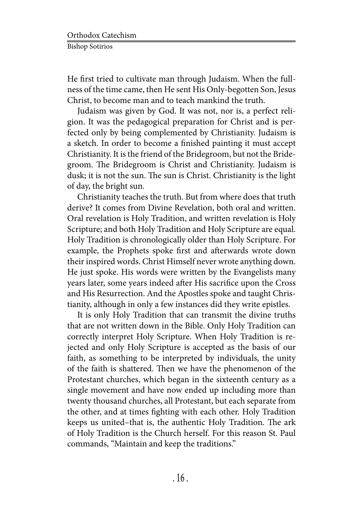He first tried to cultivate man through Judaism. When the fullness of the time came, then He sent His Only-begotten Son, Jesus Christ, to become man and to teach mankind the truth.

Judaism was given by God. It was not, nor is, a perfect religion. It was the pedagogical preparation for Christ and is perfected only by being complemented by Christianity. Judaism is a sketch. In order to become a finished painting it must accept Christianity. It is the friend of the Bridegroom, but not the Bridegroom. The Bridegroom is Christ and Christianity. Judaism is dusk; it is not the sun. The sun is Christ. Christianity is the light of day, the bright sun.

Christianity teaches the truth. But from where does that truth derive? It comes from Divine Revelation, both oral and written. Oral revelation is Holy Tradition, and written revelation is Holy Scripture; and both Holy Tradition and Holy Scripture are equal. Holy Tradition is chronologically older than Holy Scripture. For example, the Prophets spoke first and afterwards wrote down their inspired words. Christ Himself never wrote anything down. He just spoke. His words were written by the Evangelists many years later, some years indeed after His sacrifice upon the Cross and His Resurrection. And the Apostles spoke and taught Christianity, although in only a few instances did they write epistles.

It is only Holy Tradition that can transmit the divine truths that are not written down in the Bible. Only Holy Tradition can correctly interpret Holy Scripture. When Holy Tradition is rejected and only Holy Scripture is accepted as the basis of our faith, as something to be interpreted by individuals, the unity of the faith is shattered. Then we have the phenomenon of the Protestant churches, which began in the sixteenth century as a single movement and have now ended up including more than twenty thousand churches, all Protestant, but each separate from the other, and at times fighting with each other. Holy Tradition keeps us united–that is, the authentic Holy Tradition. The ark of Holy Tradition is the Church herself. For this reason St. Paul commands, "Maintain and keep the traditions."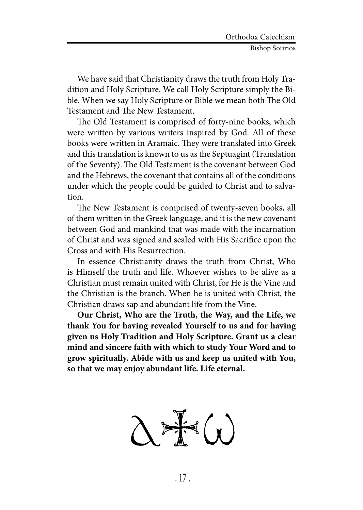We have said that Christianity draws the truth from Holy Tradition and Holy Scripture. We call Holy Scripture simply the Bible. When we say Holy Scripture or Bible we mean both The Old Testament and The New Testament.

The Old Testament is comprised of forty-nine books, which were written by various writers inspired by God. All of these books were written in Aramaic. They were translated into Greek and this translation is known to us as the Septuagint (Translation of the Seventy). The Old Testament is the covenant between God and the Hebrews, the covenant that contains all of the conditions under which the people could be guided to Christ and to salvation.

The New Testament is comprised of twenty-seven books, all of them written in the Greek language, and it is the new covenant between God and mankind that was made with the incarnation of Christ and was signed and sealed with His Sacrifice upon the Cross and with His Resurrection.

In essence Christianity draws the truth from Christ, Who is Himself the truth and life. Whoever wishes to be alive as a Christian must remain united with Christ, for He is the Vine and the Christian is the branch. When he is united with Christ, the Christian draws sap and abundant life from the Vine.

**Our Christ, Who are the Truth, the Way, and the Life, we thank You for having revealed Yourself to us and for having given us Holy Tradition and Holy Scripture. Grant us a clear mind and sincere faith with which to study Your Word and to grow spiritually. Abide with us and keep us united with You, so that we may enjoy abundant life. Life eternal.**

 $\frac{1}{2}$   $\left(\frac{1}{x}\right)$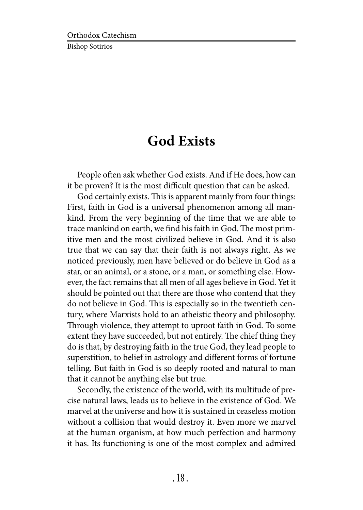### **God Exists**

People often ask whether God exists. And if He does, how can it be proven? It is the most difficult question that can be asked.

God certainly exists. This is apparent mainly from four things: First, faith in God is a universal phenomenon among all mankind. From the very beginning of the time that we are able to trace mankind on earth, we find his faith in God. The most primitive men and the most civilized believe in God. And it is also true that we can say that their faith is not always right. As we noticed previously, men have believed or do believe in God as a star, or an animal, or a stone, or a man, or something else. However, the fact remains that all men of all ages believe in God. Yet it should be pointed out that there are those who contend that they do not believe in God. This is especially so in the twentieth century, where Marxists hold to an atheistic theory and philosophy. Through violence, they attempt to uproot faith in God. To some extent they have succeeded, but not entirely. The chief thing they do is that, by destroying faith in the true God, they lead people to superstition, to belief in astrology and different forms of fortune telling. But faith in God is so deeply rooted and natural to man that it cannot be anything else but true.

Secondly, the existence of the world, with its multitude of precise natural laws, leads us to believe in the existence of God. We marvel at the universe and how it is sustained in ceaseless motion without a collision that would destroy it. Even more we marvel at the human organism, at how much perfection and harmony it has. Its functioning is one of the most complex and admired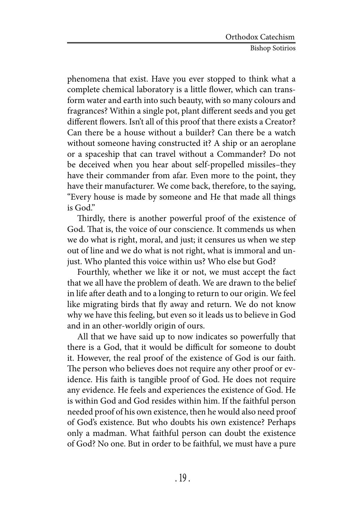phenomena that exist. Have you ever stopped to think what a complete chemical laboratory is a little flower, which can transform water and earth into such beauty, with so many colours and fragrances? Within a single pot, plant different seeds and you get different flowers. Isn't all of this proof that there exists a Creator? Can there be a house without a builder? Can there be a watch without someone having constructed it? A ship or an aeroplane or a spaceship that can travel without a Commander? Do not be deceived when you hear about self-propelled missiles–they have their commander from afar. Even more to the point, they have their manufacturer. We come back, therefore, to the saying, "Every house is made by someone and He that made all things is God."

Thirdly, there is another powerful proof of the existence of God. That is, the voice of our conscience. It commends us when we do what is right, moral, and just; it censures us when we step out of line and we do what is not right, what is immoral and unjust. Who planted this voice within us? Who else but God?

Fourthly, whether we like it or not, we must accept the fact that we all have the problem of death. We are drawn to the belief in life after death and to a longing to return to our origin. We feel like migrating birds that fly away and return. We do not know why we have this feeling, but even so it leads us to believe in God and in an other-worldly origin of ours.

All that we have said up to now indicates so powerfully that there is a God, that it would be difficult for someone to doubt it. However, the real proof of the existence of God is our faith. The person who believes does not require any other proof or evidence. His faith is tangible proof of God. He does not require any evidence. He feels and experiences the existence of God. He is within God and God resides within him. If the faithful person needed proof of his own existence, then he would also need proof of God's existence. But who doubts his own existence? Perhaps only a madman. What faithful person can doubt the existence of God? No one. But in order to be faithful, we must have a pure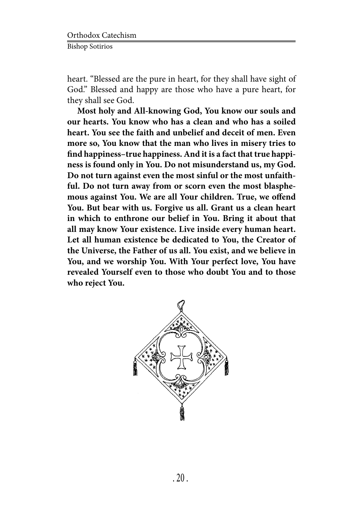heart. "Blessed are the pure in heart, for they shall have sight of God." Blessed and happy are those who have a pure heart, for they shall see God.

**Most holy and All-knowing God, You know our souls and our hearts. You know who has a clean and who has a soiled heart. You see the faith and unbelief and deceit of men. Even more so, You know that the man who lives in misery tries to find happiness–true happiness. And it is a fact that true happiness is found only in You. Do not misunderstand us, my God. Do not turn against even the most sinful or the most unfaithful. Do not turn away from or scorn even the most blasphemous against You. We are all Your children. True, we offend You. But bear with us. Forgive us all. Grant us a clean heart in which to enthrone our belief in You. Bring it about that all may know Your existence. Live inside every human heart. Let all human existence be dedicated to You, the Creator of the Universe, the Father of us all. You exist, and we believe in You, and we worship You. With Your perfect love, You have revealed Yourself even to those who doubt You and to those who reject You.**

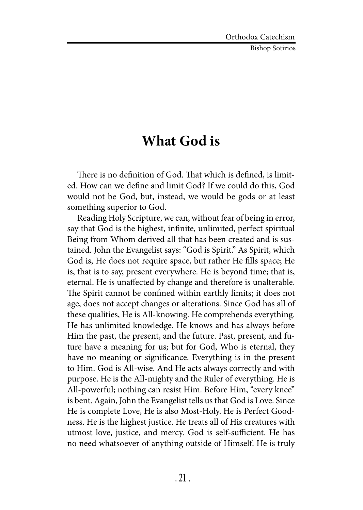Bishop Sotirios

#### **What God is**

There is no definition of God. That which is defined, is limited. How can we define and limit God? If we could do this, God would not be God, but, instead, we would be gods or at least something superior to God.

Reading Holy Scripture, we can, without fear of being in error, say that God is the highest, infinite, unlimited, perfect spiritual Being from Whom derived all that has been created and is sustained. John the Evangelist says: "God is Spirit." As Spirit, which God is, He does not require space, but rather He fills space; He is, that is to say, present everywhere. He is beyond time; that is, eternal. He is unaffected by change and therefore is unalterable. The Spirit cannot be confined within earthly limits; it does not age, does not accept changes or alterations. Since God has all of these qualities, He is All-knowing. He comprehends everything. He has unlimited knowledge. He knows and has always before Him the past, the present, and the future. Past, present, and future have a meaning for us; but for God, Who is eternal, they have no meaning or significance. Everything is in the present to Him. God is All-wise. And He acts always correctly and with purpose. He is the All-mighty and the Ruler of everything. He is All-powerful; nothing can resist Him. Before Him, "every knee" is bent. Again, John the Evangelist tells us that God is Love. Since He is complete Love, He is also Most-Holy. He is Perfect Goodness. He is the highest justice. He treats all of His creatures with utmost love, justice, and mercy. God is self-sufficient. He has no need whatsoever of anything outside of Himself. He is truly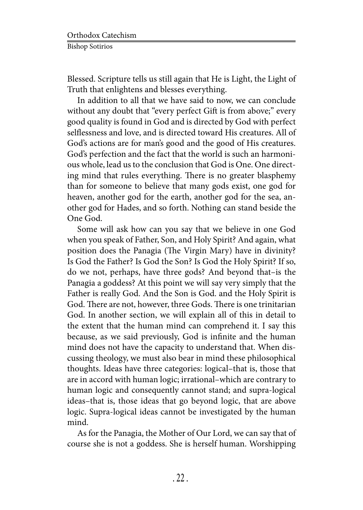Blessed. Scripture tells us still again that He is Light, the Light of Truth that enlightens and blesses everything.

In addition to all that we have said to now, we can conclude without any doubt that "every perfect Gift is from above;" every good quality is found in God and is directed by God with perfect selflessness and love, and is directed toward His creatures. All of God's actions are for man's good and the good of His creatures. God's perfection and the fact that the world is such an harmonious whole, lead us to the conclusion that God is One. One directing mind that rules everything. There is no greater blasphemy than for someone to believe that many gods exist, one god for heaven, another god for the earth, another god for the sea, another god for Hades, and so forth. Nothing can stand beside the One God.

Some will ask how can you say that we believe in one God when you speak of Father, Son, and Holy Spirit? And again, what position does the Panagia (The Virgin Mary) have in divinity? Is God the Father? Is God the Son? Is God the Holy Spirit? If so, do we not, perhaps, have three gods? And beyond that–is the Panagia a goddess? At this point we will say very simply that the Father is really God. And the Son is God. and the Holy Spirit is God. There are not, however, three Gods. There is one trinitarian God. In another section, we will explain all of this in detail to the extent that the human mind can comprehend it. I say this because, as we said previously, God is infinite and the human mind does not have the capacity to understand that. When discussing theology, we must also bear in mind these philosophical thoughts. Ideas have three categories: logical–that is, those that are in accord with human logic; irrational–which are contrary to human logic and consequently cannot stand; and supra-logical ideas–that is, those ideas that go beyond logic, that are above logic. Supra-logical ideas cannot be investigated by the human mind.

As for the Panagia, the Mother of Our Lord, we can say that of course she is not a goddess. She is herself human. Worshipping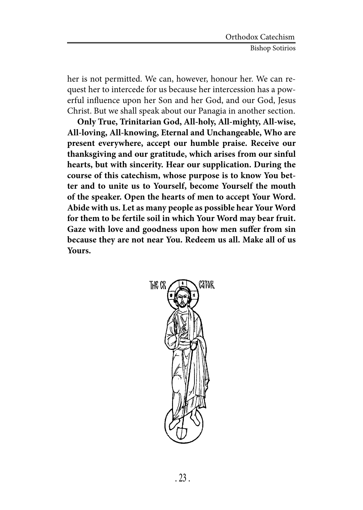her is not permitted. We can, however, honour her. We can request her to intercede for us because her intercession has a powerful influence upon her Son and her God, and our God, Jesus Christ. But we shall speak about our Panagia in another section.

**Only True, Trinitarian God, All-holy, All-mighty, All-wise, All-loving, All-knowing, Eternal and Unchangeable, Who are present everywhere, accept our humble praise. Receive our thanksgiving and our gratitude, which arises from our sinful hearts, but with sincerity. Hear our supplication. During the course of this catechism, whose purpose is to know You better and to unite us to Yourself, become Yourself the mouth of the speaker. Open the hearts of men to accept Your Word. Abide with us. Let as many people as possible hear Your Word for them to be fertile soil in which Your Word may bear fruit. Gaze with love and goodness upon how men suffer from sin because they are not near You. Redeem us all. Make all of us Yours.**

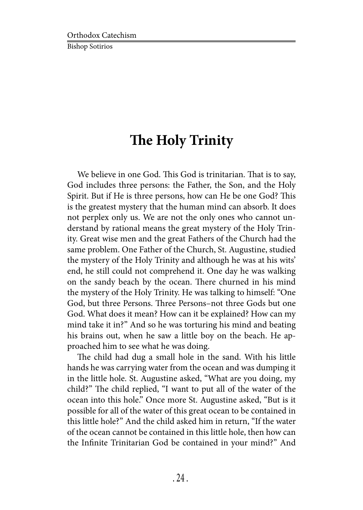## **The Holy Trinity**

We believe in one God. This God is trinitarian. That is to say, God includes three persons: the Father, the Son, and the Holy Spirit. But if He is three persons, how can He be one God? This is the greatest mystery that the human mind can absorb. It does not perplex only us. We are not the only ones who cannot understand by rational means the great mystery of the Holy Trinity. Great wise men and the great Fathers of the Church had the same problem. One Father of the Church, St. Augustine, studied the mystery of the Holy Trinity and although he was at his wits' end, he still could not comprehend it. One day he was walking on the sandy beach by the ocean. There churned in his mind the mystery of the Holy Trinity. He was talking to himself: "One God, but three Persons. Three Persons–not three Gods but one God. What does it mean? How can it be explained? How can my mind take it in?" And so he was torturing his mind and beating his brains out, when he saw a little boy on the beach. He approached him to see what he was doing.

The child had dug a small hole in the sand. With his little hands he was carrying water from the ocean and was dumping it in the little hole. St. Augustine asked, "What are you doing, my child?" The child replied, "I want to put all of the water of the ocean into this hole." Once more St. Augustine asked, "But is it possible for all of the water of this great ocean to be contained in this little hole?" And the child asked him in return, "If the water of the ocean cannot be contained in this little hole, then how can the Infinite Trinitarian God be contained in your mind?" And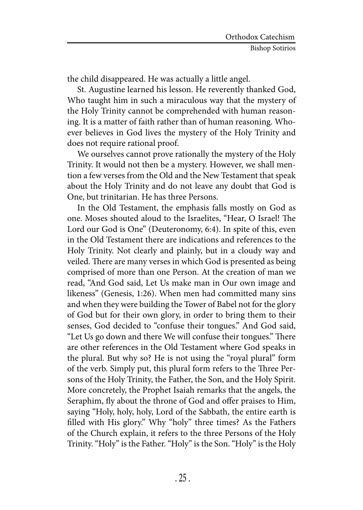the child disappeared. He was actually a little angel.

St. Augustine learned his lesson. He reverently thanked God, Who taught him in such a miraculous way that the mystery of the Holy Trinity cannot be comprehended with human reasoning. It is a matter of faith rather than of human reasoning. Whoever believes in God lives the mystery of the Holy Trinity and does not require rational proof.

We ourselves cannot prove rationally the mystery of the Holy Trinity. It would not then be a mystery. However, we shall mention a few verses from the Old and the New Testament that speak about the Holy Trinity and do not leave any doubt that God is One, but trinitarian. He has three Persons.

In the Old Testament, the emphasis falls mostly on God as one. Moses shouted aloud to the Israelites, "Hear, O Israel! The Lord our God is One" (Deuteronomy, 6:4). In spite of this, even in the Old Testament there are indications and references to the Holy Trinity. Not clearly and plainly, but in a cloudy way and veiled. There are many verses in which God is presented as being comprised of more than one Person. At the creation of man we read, "And God said, Let Us make man in Our own image and likeness" (Genesis, 1:26). When men had committed many sins and when they were building the Tower of Babel not for the glory of God but for their own glory, in order to bring them to their senses, God decided to "confuse their tongues." And God said, "Let Us go down and there We will confuse their tongues." There are other references in the Old Testament where God speaks in the plural. But why so? He is not using the "royal plural" form of the verb. Simply put, this plural form refers to the Three Persons of the Holy Trinity, the Father, the Son, and the Holy Spirit. More concretely, the Prophet Isaiah remarks that the angels, the Seraphim, fly about the throne of God and offer praises to Him, saying "Holy, holy, holy, Lord of the Sabbath, the entire earth is filled with His glory." Why "holy" three times? As the Fathers of the Church explain, it refers to the three Persons of the Holy Trinity. "Holy" is the Father. "Holy" is the Son. "Holy" is the Holy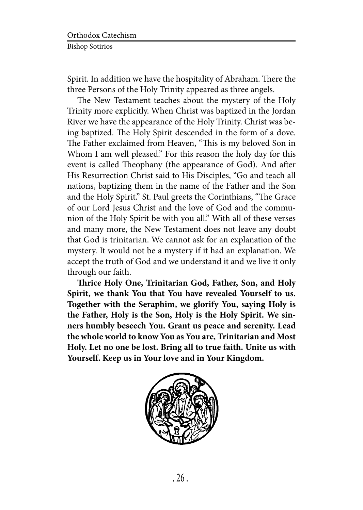Spirit. In addition we have the hospitality of Abraham. There the three Persons of the Holy Trinity appeared as three angels.

The New Testament teaches about the mystery of the Holy Trinity more explicitly. When Christ was baptized in the Jordan River we have the appearance of the Holy Trinity. Christ was being baptized. The Holy Spirit descended in the form of a dove. The Father exclaimed from Heaven, "This is my beloved Son in Whom I am well pleased." For this reason the holy day for this event is called Theophany (the appearance of God). And after His Resurrection Christ said to His Disciples, "Go and teach all nations, baptizing them in the name of the Father and the Son and the Holy Spirit." St. Paul greets the Corinthians, "The Grace of our Lord Jesus Christ and the love of God and the communion of the Holy Spirit be with you all." With all of these verses and many more, the New Testament does not leave any doubt that God is trinitarian. We cannot ask for an explanation of the mystery. It would not be a mystery if it had an explanation. We accept the truth of God and we understand it and we live it only through our faith.

**Thrice Holy One, Trinitarian God, Father, Son, and Holy Spirit, we thank You that You have revealed Yourself to us. Together with the Seraphim, we glorify You, saying Holy is the Father, Holy is the Son, Holy is the Holy Spirit. We sinners humbly beseech You. Grant us peace and serenity. Lead the whole world to know You as You are, Trinitarian and Most Holy. Let no one be lost. Bring all to true faith. Unite us with Yourself. Keep us in Your love and in Your Kingdom.**

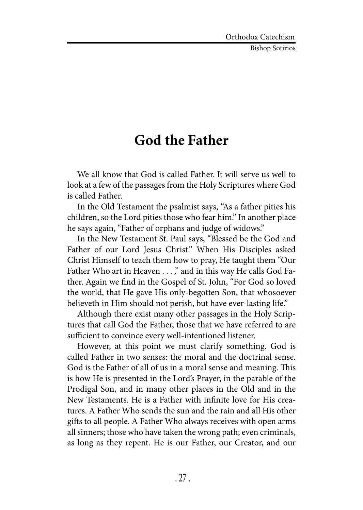Bishop Sotirios

#### **God the Father**

We all know that God is called Father. It will serve us well to look at a few of the passages from the Holy Scriptures where God is called Father.

In the Old Testament the psalmist says, "As a father pities his children, so the Lord pities those who fear him." In another place he says again, "Father of orphans and judge of widows."

In the New Testament St. Paul says, "Blessed be the God and Father of our Lord Jesus Christ." When His Disciples asked Christ Himself to teach them how to pray, He taught them "Our Father Who art in Heaven . . . ," and in this way He calls God Father. Again we find in the Gospel of St. John, "For God so loved the world, that He gave His only-begotten Son, that whosoever believeth in Him should not perish, but have ever-lasting life."

Although there exist many other passages in the Holy Scriptures that call God the Father, those that we have referred to are sufficient to convince every well-intentioned listener.

However, at this point we must clarify something. God is called Father in two senses: the moral and the doctrinal sense. God is the Father of all of us in a moral sense and meaning. This is how He is presented in the Lord's Prayer, in the parable of the Prodigal Son, and in many other places in the Old and in the New Testaments. He is a Father with infinite love for His creatures. A Father Who sends the sun and the rain and all His other gifts to all people. A Father Who always receives with open arms all sinners; those who have taken the wrong path; even criminals, as long as they repent. He is our Father, our Creator, and our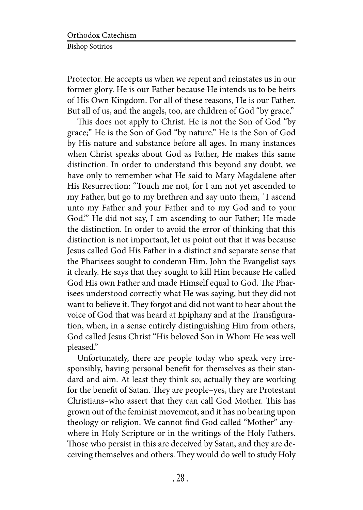Protector. He accepts us when we repent and reinstates us in our former glory. He is our Father because He intends us to be heirs of His Own Kingdom. For all of these reasons, He is our Father. But all of us, and the angels, too, are children of God "by grace."

This does not apply to Christ. He is not the Son of God "by grace;" He is the Son of God "by nature." He is the Son of God by His nature and substance before all ages. In many instances when Christ speaks about God as Father, He makes this same distinction. In order to understand this beyond any doubt, we have only to remember what He said to Mary Magdalene after His Resurrection: "Touch me not, for I am not yet ascended to my Father, but go to my brethren and say unto them, `I ascend unto my Father and your Father and to my God and to your God.'" He did not say, I am ascending to our Father; He made the distinction. In order to avoid the error of thinking that this distinction is not important, let us point out that it was because Jesus called God His Father in a distinct and separate sense that the Pharisees sought to condemn Him. John the Evangelist says it clearly. He says that they sought to kill Him because He called God His own Father and made Himself equal to God. The Pharisees understood correctly what He was saying, but they did not want to believe it. They forgot and did not want to hear about the voice of God that was heard at Epiphany and at the Transfiguration, when, in a sense entirely distinguishing Him from others, God called Jesus Christ "His beloved Son in Whom He was well pleased."

Unfortunately, there are people today who speak very irresponsibly, having personal benefit for themselves as their standard and aim. At least they think so; actually they are working for the benefit of Satan. They are people–yes, they are Protestant Christians–who assert that they can call God Mother. This has grown out of the feminist movement, and it has no bearing upon theology or religion. We cannot find God called "Mother" anywhere in Holy Scripture or in the writings of the Holy Fathers. Those who persist in this are deceived by Satan, and they are deceiving themselves and others. They would do well to study Holy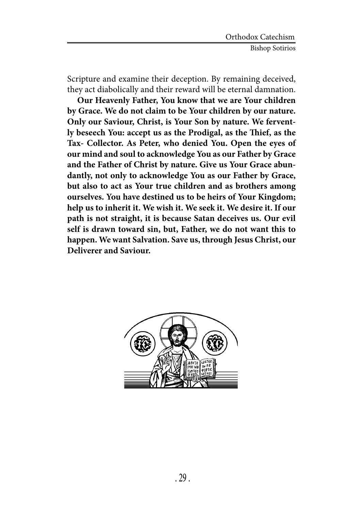Scripture and examine their deception. By remaining deceived, they act diabolically and their reward will be eternal damnation.

**Our Heavenly Father, You know that we are Your children by Grace. We do not claim to be Your children by our nature. Only our Saviour, Christ, is Your Son by nature. We fervently beseech You: accept us as the Prodigal, as the Thief, as the Tax- Collector. As Peter, who denied You. Open the eyes of our mind and soul to acknowledge You as our Father by Grace and the Father of Christ by nature. Give us Your Grace abundantly, not only to acknowledge You as our Father by Grace, but also to act as Your true children and as brothers among ourselves. You have destined us to be heirs of Your Kingdom; help us to inherit it. We wish it. We seek it. We desire it. If our path is not straight, it is because Satan deceives us. Our evil self is drawn toward sin, but, Father, we do not want this to happen. We want Salvation. Save us, through Jesus Christ, our Deliverer and Saviour.**

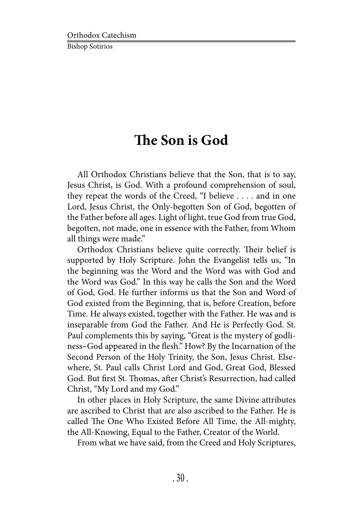## **The Son is God**

All Orthodox Christians believe that the Son, that is to say, Jesus Christ, is God. With a profound comprehension of soul, they repeat the words of the Creed, "I believe . . . . and in one Lord, Jesus Christ, the Only-begotten Son of God, begotten of the Father before all ages. Light of light, true God from true God, begotten, not made, one in essence with the Father, from Whom all things were made."

Orthodox Christians believe quite correctly. Their belief is supported by Holy Scripture. John the Evangelist tells us, "In the beginning was the Word and the Word was with God and the Word was God." In this way he calls the Son and the Word of God, God. He further informs us that the Son and Word of God existed from the Beginning, that is, before Creation, before Time. He always existed, together with the Father. He was and is inseparable from God the Father. And He is Perfectly God. St. Paul complements this by saying, "Great is the mystery of godliness–God appeared in the flesh." How? By the Incarnation of the Second Person of the Holy Trinity, the Son, Jesus Christ. Elsewhere, St. Paul calls Christ Lord and God, Great God, Blessed God. But first St. Thomas, after Christ's Resurrection, had called Christ, "My Lord and my God."

In other places in Holy Scripture, the same Divine attributes are ascribed to Christ that are also ascribed to the Father. He is called The One Who Existed Before All Time, the All-mighty, the All-Knowing, Equal to the Father, Creator of the World.

From what we have said, from the Creed and Holy Scriptures,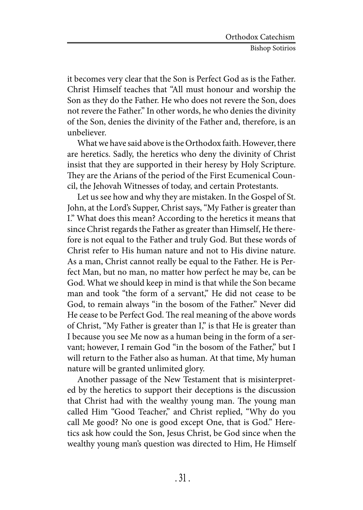it becomes very clear that the Son is Perfect God as is the Father. Christ Himself teaches that "All must honour and worship the Son as they do the Father. He who does not revere the Son, does not revere the Father." In other words, he who denies the divinity of the Son, denies the divinity of the Father and, therefore, is an unbeliever.

What we have said above is the Orthodox faith. However, there are heretics. Sadly, the heretics who deny the divinity of Christ insist that they are supported in their heresy by Holy Scripture. They are the Arians of the period of the First Ecumenical Council, the Jehovah Witnesses of today, and certain Protestants.

Let us see how and why they are mistaken. In the Gospel of St. John, at the Lord's Supper, Christ says, "My Father is greater than I." What does this mean? According to the heretics it means that since Christ regards the Father as greater than Himself, He therefore is not equal to the Father and truly God. But these words of Christ refer to His human nature and not to His divine nature. As a man, Christ cannot really be equal to the Father. He is Perfect Man, but no man, no matter how perfect he may be, can be God. What we should keep in mind is that while the Son became man and took "the form of a servant," He did not cease to be God, to remain always "in the bosom of the Father." Never did He cease to be Perfect God. The real meaning of the above words of Christ, "My Father is greater than I," is that He is greater than I because you see Me now as a human being in the form of a servant; however, I remain God "in the bosom of the Father," but I will return to the Father also as human. At that time, My human nature will be granted unlimited glory.

Another passage of the New Testament that is misinterpreted by the heretics to support their deceptions is the discussion that Christ had with the wealthy young man. The young man called Him "Good Teacher," and Christ replied, "Why do you call Me good? No one is good except One, that is God." Heretics ask how could the Son, Jesus Christ, be God since when the wealthy young man's question was directed to Him, He Himself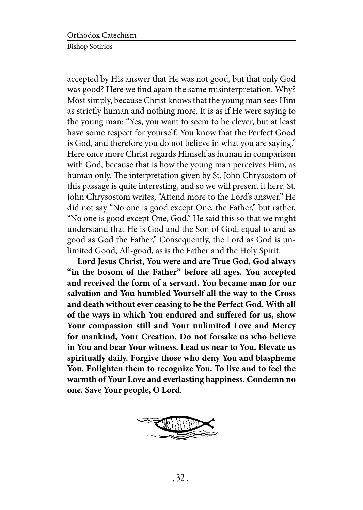accepted by His answer that He was not good, but that only God was good? Here we find again the same misinterpretation. Why? Most simply, because Christ knows that the young man sees Him as strictly human and nothing more. It is as if He were saying to the young man: "Yes, you want to seem to be clever, but at least have some respect for yourself. You know that the Perfect Good is God, and therefore you do not believe in what you are saying." Here once more Christ regards Himself as human in comparison with God, because that is how the young man perceives Him, as human only. The interpretation given by St. John Chrysostom of this passage is quite interesting, and so we will present it here. St. John Chrysostom writes, "Attend more to the Lord's answer." He did not say "No one is good except One, the Father," but rather, "No one is good except One, God." He said this so that we might understand that He is God and the Son of God, equal to and as good as God the Father." Consequently, the Lord as God is unlimited Good, All-good, as is the Father and the Holy Spirit.

**Lord Jesus Christ, You were and are True God, God always "in the bosom of the Father" before all ages. You accepted and received the form of a servant. You became man for our salvation and You humbled Yourself all the way to the Cross and death without ever ceasing to be the Perfect God. With all of the ways in which You endured and suffered for us, show Your compassion still and Your unlimited Love and Mercy for mankind, Your Creation. Do not forsake us who believe in You and bear Your witness. Lead us near to You. Elevate us spiritually daily. Forgive those who deny You and blaspheme You. Enlighten them to recognize You. To live and to feel the warmth of Your Love and everlasting happiness. Condemn no one. Save Your people, O Lord**.

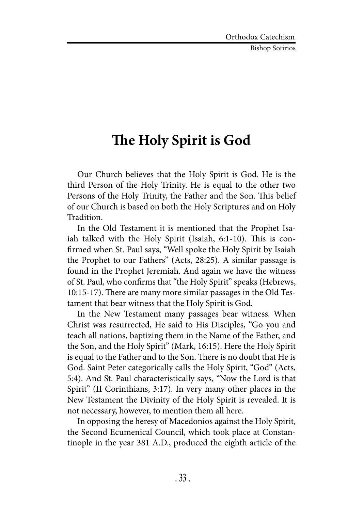Bishop Sotirios

## **The Holy Spirit is God**

Our Church believes that the Holy Spirit is God. He is the third Person of the Holy Trinity. He is equal to the other two Persons of the Holy Trinity, the Father and the Son. This belief of our Church is based on both the Holy Scriptures and on Holy Tradition.

In the Old Testament it is mentioned that the Prophet Isaiah talked with the Holy Spirit (Isaiah, 6:1-10). This is confirmed when St. Paul says, "Well spoke the Holy Spirit by Isaiah the Prophet to our Fathers" (Acts, 28:25). A similar passage is found in the Prophet Jeremiah. And again we have the witness of St. Paul, who confirms that "the Holy Spirit" speaks (Hebrews, 10:15-17). There are many more similar passages in the Old Testament that bear witness that the Holy Spirit is God.

In the New Testament many passages bear witness. When Christ was resurrected, He said to His Disciples, "Go you and teach all nations, baptizing them in the Name of the Father, and the Son, and the Holy Spirit" (Mark, 16:15). Here the Holy Spirit is equal to the Father and to the Son. There is no doubt that He is God. Saint Peter categorically calls the Holy Spirit, "God" (Acts, 5:4). And St. Paul characteristically says, "Now the Lord is that Spirit" (II Corinthians, 3:17). In very many other places in the New Testament the Divinity of the Holy Spirit is revealed. It is not necessary, however, to mention them all here.

In opposing the heresy of Macedonios against the Holy Spirit, the Second Ecumenical Council, which took place at Constantinople in the year 381 A.D., produced the eighth article of the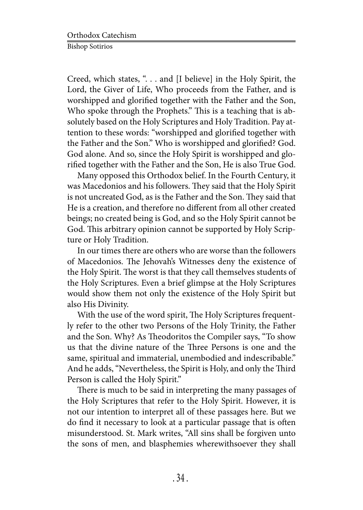Creed, which states, ". . . and [I believe] in the Holy Spirit, the Lord, the Giver of Life, Who proceeds from the Father, and is worshipped and glorified together with the Father and the Son, Who spoke through the Prophets." This is a teaching that is absolutely based on the Holy Scriptures and Holy Tradition. Pay attention to these words: "worshipped and glorified together with the Father and the Son." Who is worshipped and glorified? God. God alone. And so, since the Holy Spirit is worshipped and glorified together with the Father and the Son, He is also True God.

Many opposed this Orthodox belief. In the Fourth Century, it was Macedonios and his followers. They said that the Holy Spirit is not uncreated God, as is the Father and the Son. They said that He is a creation, and therefore no different from all other created beings; no created being is God, and so the Holy Spirit cannot be God. This arbitrary opinion cannot be supported by Holy Scripture or Holy Tradition.

In our times there are others who are worse than the followers of Macedonios. The Jehovah's Witnesses deny the existence of the Holy Spirit. The worst is that they call themselves students of the Holy Scriptures. Even a brief glimpse at the Holy Scriptures would show them not only the existence of the Holy Spirit but also His Divinity.

With the use of the word spirit, The Holy Scriptures frequently refer to the other two Persons of the Holy Trinity, the Father and the Son. Why? As Theodoritos the Compiler says, "To show us that the divine nature of the Three Persons is one and the same, spiritual and immaterial, unembodied and indescribable." And he adds, "Nevertheless, the Spirit is Holy, and only the Third Person is called the Holy Spirit."

There is much to be said in interpreting the many passages of the Holy Scriptures that refer to the Holy Spirit. However, it is not our intention to interpret all of these passages here. But we do find it necessary to look at a particular passage that is often misunderstood. St. Mark writes, "All sins shall be forgiven unto the sons of men, and blasphemies wherewithsoever they shall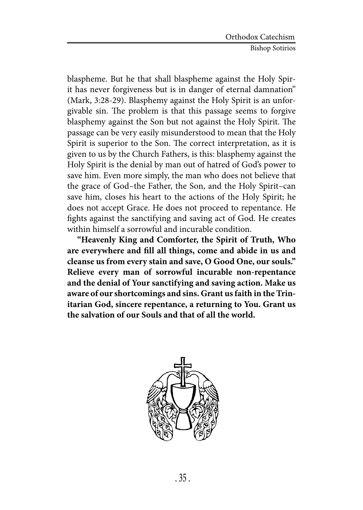blaspheme. But he that shall blaspheme against the Holy Spirit has never forgiveness but is in danger of eternal damnation" (Mark, 3:28-29). Blasphemy against the Holy Spirit is an unforgivable sin. The problem is that this passage seems to forgive blasphemy against the Son but not against the Holy Spirit. The passage can be very easily misunderstood to mean that the Holy Spirit is superior to the Son. The correct interpretation, as it is given to us by the Church Fathers, is this: blasphemy against the Holy Spirit is the denial by man out of hatred of God's power to save him. Even more simply, the man who does not believe that the grace of God–the Father, the Son, and the Holy Spirit–can save him, closes his heart to the actions of the Holy Spirit; he does not accept Grace. He does not proceed to repentance. He fights against the sanctifying and saving act of God. He creates within himself a sorrowful and incurable condition.

**"Heavenly King and Comforter, the Spirit of Truth, Who are everywhere and fill all things, come and abide in us and cleanse us from every stain and save, O Good One, our souls." Relieve every man of sorrowful incurable non-repentance and the denial of Your sanctifying and saving action. Make us aware of our shortcomings and sins. Grant us faith in the Trinitarian God, sincere repentance, a returning to You. Grant us the salvation of our Souls and that of all the world.**

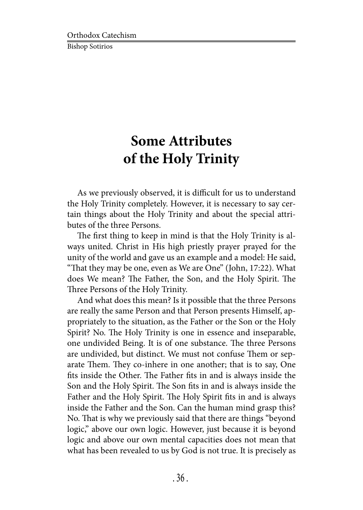# **Some Attributes of the Holy Trinity**

As we previously observed, it is difficult for us to understand the Holy Trinity completely. However, it is necessary to say certain things about the Holy Trinity and about the special attributes of the three Persons.

The first thing to keep in mind is that the Holy Trinity is always united. Christ in His high priestly prayer prayed for the unity of the world and gave us an example and a model: He said, "That they may be one, even as We are One" (John, 17:22). What does We mean? The Father, the Son, and the Holy Spirit. The Three Persons of the Holy Trinity.

And what does this mean? Is it possible that the three Persons are really the same Person and that Person presents Himself, appropriately to the situation, as the Father or the Son or the Holy Spirit? No. The Holy Trinity is one in essence and inseparable, one undivided Being. It is of one substance. The three Persons are undivided, but distinct. We must not confuse Them or separate Them. They co-inhere in one another; that is to say, One fits inside the Other. The Father fits in and is always inside the Son and the Holy Spirit. The Son fits in and is always inside the Father and the Holy Spirit. The Holy Spirit fits in and is always inside the Father and the Son. Can the human mind grasp this? No. That is why we previously said that there are things "beyond logic," above our own logic. However, just because it is beyond logic and above our own mental capacities does not mean that what has been revealed to us by God is not true. It is precisely as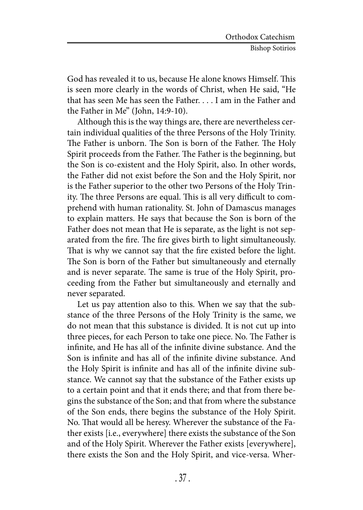God has revealed it to us, because He alone knows Himself. This is seen more clearly in the words of Christ, when He said, "He that has seen Me has seen the Father. . . . I am in the Father and the Father in Me" (John, 14:9-10).

Although this is the way things are, there are nevertheless certain individual qualities of the three Persons of the Holy Trinity. The Father is unborn. The Son is born of the Father. The Holy Spirit proceeds from the Father. The Father is the beginning, but the Son is co-existent and the Holy Spirit, also. In other words, the Father did not exist before the Son and the Holy Spirit, nor is the Father superior to the other two Persons of the Holy Trinity. The three Persons are equal. This is all very difficult to comprehend with human rationality. St. John of Damascus manages to explain matters. He says that because the Son is born of the Father does not mean that He is separate, as the light is not separated from the fire. The fire gives birth to light simultaneously. That is why we cannot say that the fire existed before the light. The Son is born of the Father but simultaneously and eternally and is never separate. The same is true of the Holy Spirit, proceeding from the Father but simultaneously and eternally and never separated.

Let us pay attention also to this. When we say that the substance of the three Persons of the Holy Trinity is the same, we do not mean that this substance is divided. It is not cut up into three pieces, for each Person to take one piece. No. The Father is infinite, and He has all of the infinite divine substance. And the Son is infinite and has all of the infinite divine substance. And the Holy Spirit is infinite and has all of the infinite divine substance. We cannot say that the substance of the Father exists up to a certain point and that it ends there; and that from there begins the substance of the Son; and that from where the substance of the Son ends, there begins the substance of the Holy Spirit. No. That would all be heresy. Wherever the substance of the Father exists [i.e., everywhere] there exists the substance of the Son and of the Holy Spirit. Wherever the Father exists [everywhere], there exists the Son and the Holy Spirit, and vice-versa. Wher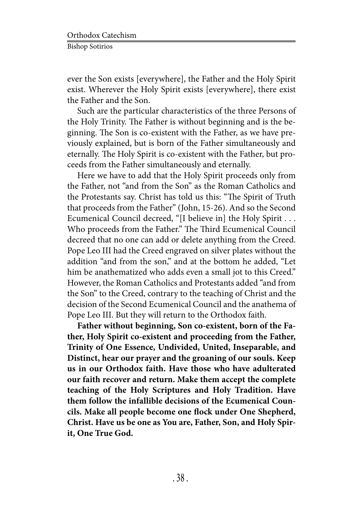ever the Son exists [everywhere], the Father and the Holy Spirit exist. Wherever the Holy Spirit exists [everywhere], there exist the Father and the Son.

Such are the particular characteristics of the three Persons of the Holy Trinity. The Father is without beginning and is the beginning. The Son is co-existent with the Father, as we have previously explained, but is born of the Father simultaneously and eternally. The Holy Spirit is co-existent with the Father, but proceeds from the Father simultaneously and eternally.

Here we have to add that the Holy Spirit proceeds only from the Father, not "and from the Son" as the Roman Catholics and the Protestants say. Christ has told us this: "The Spirit of Truth that proceeds from the Father" (John, 15-26). And so the Second Ecumenical Council decreed, "[I believe in] the Holy Spirit . . . Who proceeds from the Father." The Third Ecumenical Council decreed that no one can add or delete anything from the Creed. Pope Leo III had the Creed engraved on silver plates without the addition "and from the son," and at the bottom he added, "Let him be anathematized who adds even a small jot to this Creed." However, the Roman Catholics and Protestants added "and from the Son" to the Creed, contrary to the teaching of Christ and the decision of the Second Ecumenical Council and the anathema of Pope Leo III. But they will return to the Orthodox faith.

**Father without beginning, Son co-existent, born of the Father, Holy Spirit co-existent and proceeding from the Father, Trinity of One Essence, Undivided, United, Inseparable, and Distinct, hear our prayer and the groaning of our souls. Keep us in our Orthodox faith. Have those who have adulterated our faith recover and return. Make them accept the complete teaching of the Holy Scriptures and Holy Tradition. Have them follow the infallible decisions of the Ecumenical Councils. Make all people become one flock under One Shepherd, Christ. Have us be one as You are, Father, Son, and Holy Spirit, One True God.**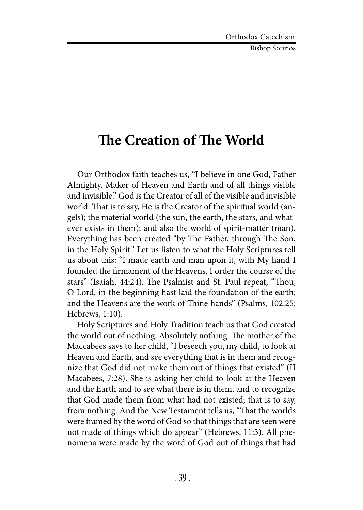Bishop Sotirios

### **The Creation of The World**

Our Orthodox faith teaches us, "I believe in one God, Father Almighty, Maker of Heaven and Earth and of all things visible and invisible." God is the Creator of all of the visible and invisible world. That is to say, He is the Creator of the spiritual world (angels); the material world (the sun, the earth, the stars, and whatever exists in them); and also the world of spirit-matter (man). Everything has been created "by The Father, through The Son, in the Holy Spirit." Let us listen to what the Holy Scriptures tell us about this: "I made earth and man upon it, with My hand I founded the firmament of the Heavens, I order the course of the stars" (Isaiah, 44:24). The Psalmist and St. Paul repeat, "Thou, O Lord, in the beginning hast laid the foundation of the earth; and the Heavens are the work of Thine hands" (Psalms, 102:25; Hebrews, 1:10).

Holy Scriptures and Holy Tradition teach us that God created the world out of nothing. Absolutely nothing. The mother of the Maccabees says to her child, "I beseech you, my child, to look at Heaven and Earth, and see everything that is in them and recognize that God did not make them out of things that existed" (II Macabees, 7:28). She is asking her child to look at the Heaven and the Earth and to see what there is in them, and to recognize that God made them from what had not existed; that is to say, from nothing. And the New Testament tells us, "That the worlds were framed by the word of God so that things that are seen were not made of things which do appear" (Hebrews, 11:3). All phenomena were made by the word of God out of things that had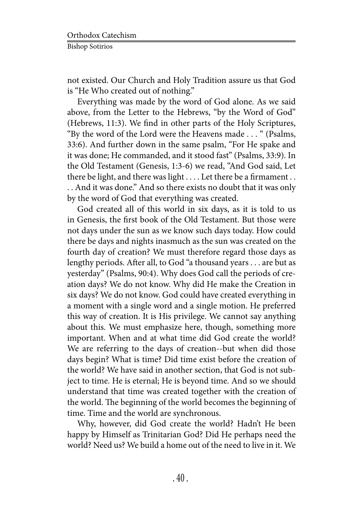not existed. Our Church and Holy Tradition assure us that God is "He Who created out of nothing."

Everything was made by the word of God alone. As we said above, from the Letter to the Hebrews, "by the Word of God" (Hebrews, 11:3). We find in other parts of the Holy Scriptures, "By the word of the Lord were the Heavens made . . . " (Psalms, 33:6). And further down in the same psalm, "For He spake and it was done; He commanded, and it stood fast" (Psalms, 33:9). In the Old Testament (Genesis, 1:3-6) we read, "And God said, Let there be light, and there was light . . . . Let there be a firmament . . . . And it was done." And so there exists no doubt that it was only by the word of God that everything was created.

God created all of this world in six days, as it is told to us in Genesis, the first book of the Old Testament. But those were not days under the sun as we know such days today. How could there be days and nights inasmuch as the sun was created on the fourth day of creation? We must therefore regard those days as lengthy periods. After all, to God "a thousand years . . . are but as yesterday" (Psalms, 90:4). Why does God call the periods of creation days? We do not know. Why did He make the Creation in six days? We do not know. God could have created everything in a moment with a single word and a single motion. He preferred this way of creation. It is His privilege. We cannot say anything about this. We must emphasize here, though, something more important. When and at what time did God create the world? We are referring to the days of creation--but when did those days begin? What is time? Did time exist before the creation of the world? We have said in another section, that God is not subject to time. He is eternal; He is beyond time. And so we should understand that time was created together with the creation of the world. The beginning of the world becomes the beginning of time. Time and the world are synchronous.

Why, however, did God create the world? Hadn't He been happy by Himself as Trinitarian God? Did He perhaps need the world? Need us? We build a home out of the need to live in it. We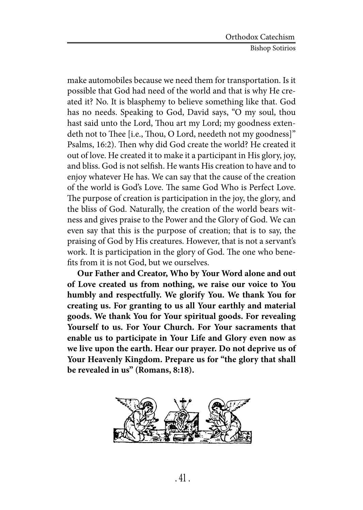make automobiles because we need them for transportation. Is it possible that God had need of the world and that is why He created it? No. It is blasphemy to believe something like that. God has no needs. Speaking to God, David says, "O my soul, thou hast said unto the Lord, Thou art my Lord; my goodness extendeth not to Thee [i.e., Thou, O Lord, needeth not my goodness]" Psalms, 16:2). Then why did God create the world? He created it out of love. He created it to make it a participant in His glory, joy, and bliss. God is not selfish. He wants His creation to have and to enjoy whatever He has. We can say that the cause of the creation of the world is God's Love. The same God Who is Perfect Love. The purpose of creation is participation in the joy, the glory, and the bliss of God. Naturally, the creation of the world bears witness and gives praise to the Power and the Glory of God. We can even say that this is the purpose of creation; that is to say, the praising of God by His creatures. However, that is not a servant's work. It is participation in the glory of God. The one who benefits from it is not God, but we ourselves.

**Our Father and Creator, Who by Your Word alone and out of Love created us from nothing, we raise our voice to You humbly and respectfully. We glorify You. We thank You for creating us. For granting to us all Your earthly and material goods. We thank You for Your spiritual goods. For revealing Yourself to us. For Your Church. For Your sacraments that enable us to participate in Your Life and Glory even now as we live upon the earth. Hear our prayer. Do not deprive us of Your Heavenly Kingdom. Prepare us for "the glory that shall be revealed in us" (Romans, 8:18).**

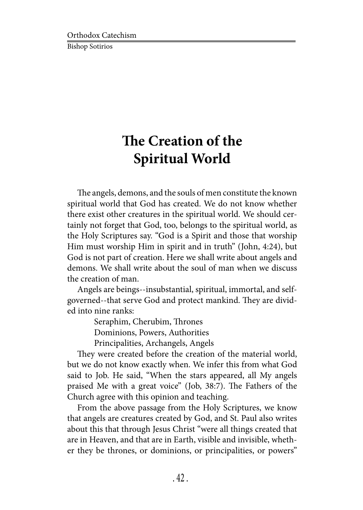# **The Creation of the Spiritual World**

The angels, demons, and the souls of men constitute the known spiritual world that God has created. We do not know whether there exist other creatures in the spiritual world. We should certainly not forget that God, too, belongs to the spiritual world, as the Holy Scriptures say. "God is a Spirit and those that worship Him must worship Him in spirit and in truth" (John, 4:24), but God is not part of creation. Here we shall write about angels and demons. We shall write about the soul of man when we discuss the creation of man.

Angels are beings--insubstantial, spiritual, immortal, and selfgoverned--that serve God and protect mankind. They are divided into nine ranks:

Seraphim, Cherubim, Thrones

Dominions, Powers, Authorities

Principalities, Archangels, Angels

They were created before the creation of the material world, but we do not know exactly when. We infer this from what God said to Job. He said, "When the stars appeared, all My angels praised Me with a great voice" (Job, 38:7). The Fathers of the Church agree with this opinion and teaching.

From the above passage from the Holy Scriptures, we know that angels are creatures created by God, and St. Paul also writes about this that through Jesus Christ "were all things created that are in Heaven, and that are in Earth, visible and invisible, whether they be thrones, or dominions, or principalities, or powers"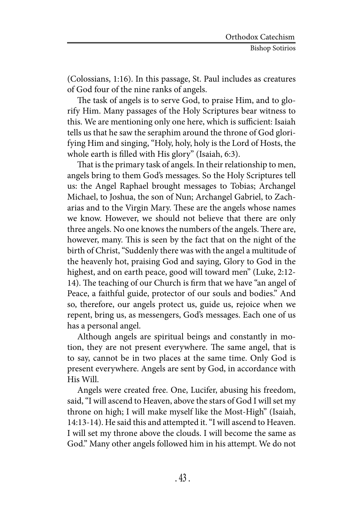(Colossians, 1:16). In this passage, St. Paul includes as creatures of God four of the nine ranks of angels.

The task of angels is to serve God, to praise Him, and to glorify Him. Many passages of the Holy Scriptures bear witness to this. We are mentioning only one here, which is sufficient: Isaiah tells us that he saw the seraphim around the throne of God glorifying Him and singing, "Holy, holy, holy is the Lord of Hosts, the whole earth is filled with His glory" (Isaiah, 6:3).

That is the primary task of angels. In their relationship to men, angels bring to them God's messages. So the Holy Scriptures tell us: the Angel Raphael brought messages to Tobias; Archangel Michael, to Joshua, the son of Nun; Archangel Gabriel, to Zacharias and to the Virgin Mary. These are the angels whose names we know. However, we should not believe that there are only three angels. No one knows the numbers of the angels. There are, however, many. This is seen by the fact that on the night of the birth of Christ, "Suddenly there was with the angel a multitude of the heavenly hot, praising God and saying, Glory to God in the highest, and on earth peace, good will toward men" (Luke, 2:12- 14). The teaching of our Church is firm that we have "an angel of Peace, a faithful guide, protector of our souls and bodies." And so, therefore, our angels protect us, guide us, rejoice when we repent, bring us, as messengers, God's messages. Each one of us has a personal angel.

Although angels are spiritual beings and constantly in motion, they are not present everywhere. The same angel, that is to say, cannot be in two places at the same time. Only God is present everywhere. Angels are sent by God, in accordance with His Will.

Angels were created free. One, Lucifer, abusing his freedom, said, "I will ascend to Heaven, above the stars of God I will set my throne on high; I will make myself like the Most-High" (Isaiah, 14:13-14). He said this and attempted it. "I will ascend to Heaven. I will set my throne above the clouds. I will become the same as God." Many other angels followed him in his attempt. We do not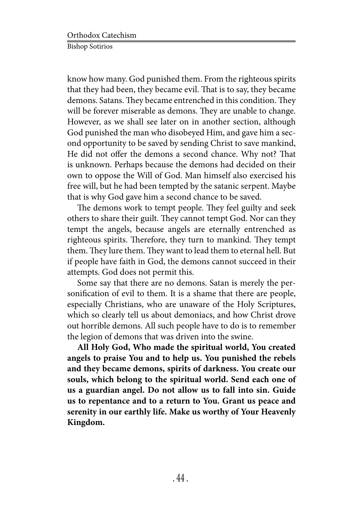know how many. God punished them. From the righteous spirits that they had been, they became evil. That is to say, they became demons. Satans. They became entrenched in this condition. They will be forever miserable as demons. They are unable to change. However, as we shall see later on in another section, although God punished the man who disobeyed Him, and gave him a second opportunity to be saved by sending Christ to save mankind, He did not offer the demons a second chance. Why not? That is unknown. Perhaps because the demons had decided on their own to oppose the Will of God. Man himself also exercised his free will, but he had been tempted by the satanic serpent. Maybe that is why God gave him a second chance to be saved.

The demons work to tempt people. They feel guilty and seek others to share their guilt. They cannot tempt God. Nor can they tempt the angels, because angels are eternally entrenched as righteous spirits. Therefore, they turn to mankind. They tempt them. They lure them. They want to lead them to eternal hell. But if people have faith in God, the demons cannot succeed in their attempts. God does not permit this.

Some say that there are no demons. Satan is merely the personification of evil to them. It is a shame that there are people, especially Christians, who are unaware of the Holy Scriptures, which so clearly tell us about demoniacs, and how Christ drove out horrible demons. All such people have to do is to remember the legion of demons that was driven into the swine.

**All Holy God, Who made the spiritual world, You created angels to praise You and to help us. You punished the rebels and they became demons, spirits of darkness. You create our souls, which belong to the spiritual world. Send each one of us a guardian angel. Do not allow us to fall into sin. Guide us to repentance and to a return to You. Grant us peace and serenity in our earthly life. Make us worthy of Your Heavenly Kingdom.**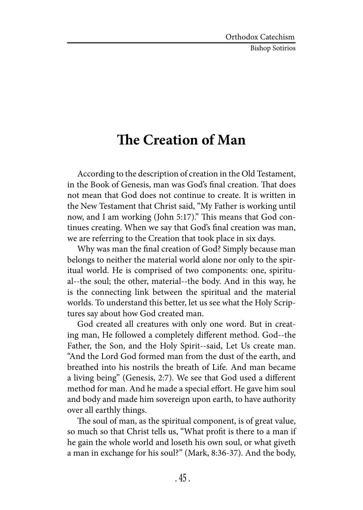Bishop Sotirios

## **The Creation of Man**

According to the description of creation in the Old Testament, in the Book of Genesis, man was God's final creation. That does not mean that God does not continue to create. It is written in the New Testament that Christ said, "My Father is working until now, and I am working (John 5:17)." This means that God continues creating. When we say that God's final creation was man, we are referring to the Creation that took place in six days.

Why was man the final creation of God? Simply because man belongs to neither the material world alone nor only to the spiritual world. He is comprised of two components: one, spiritual--the soul; the other, material--the body. And in this way, he is the connecting link between the spiritual and the material worlds. To understand this better, let us see what the Holy Scriptures say about how God created man.

God created all creatures with only one word. But in creating man, He followed a completely different method. God--the Father, the Son, and the Holy Spirit--said, Let Us create man. "And the Lord God formed man from the dust of the earth, and breathed into his nostrils the breath of Life. And man became a living being" (Genesis, 2:7). We see that God used a different method for man. And he made a special effort. He gave him soul and body and made him sovereign upon earth, to have authority over all earthly things.

The soul of man, as the spiritual component, is of great value, so much so that Christ tells us, "What profit is there to a man if he gain the whole world and loseth his own soul, or what giveth a man in exchange for his soul?" (Mark, 8:36-37). And the body,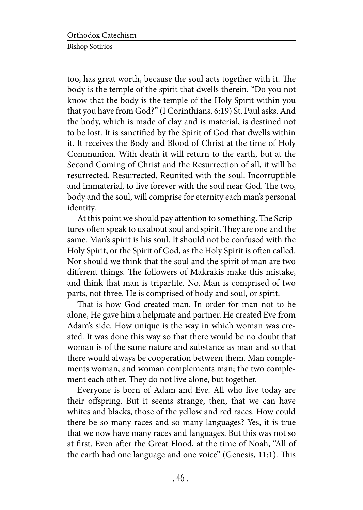too, has great worth, because the soul acts together with it. The body is the temple of the spirit that dwells therein. "Do you not know that the body is the temple of the Holy Spirit within you that you have from God?" (I Corinthians, 6:19) St. Paul asks. And the body, which is made of clay and is material, is destined not to be lost. It is sanctified by the Spirit of God that dwells within it. It receives the Body and Blood of Christ at the time of Holy Communion. With death it will return to the earth, but at the Second Coming of Christ and the Resurrection of all, it will be resurrected. Resurrected. Reunited with the soul. Incorruptible and immaterial, to live forever with the soul near God. The two, body and the soul, will comprise for eternity each man's personal identity.

At this point we should pay attention to something. The Scriptures often speak to us about soul and spirit. They are one and the same. Man's spirit is his soul. It should not be confused with the Holy Spirit, or the Spirit of God, as the Holy Spirit is often called. Nor should we think that the soul and the spirit of man are two different things. The followers of Makrakis make this mistake, and think that man is tripartite. No. Man is comprised of two parts, not three. He is comprised of body and soul, or spirit.

That is how God created man. In order for man not to be alone, He gave him a helpmate and partner. He created Eve from Adam's side. How unique is the way in which woman was created. It was done this way so that there would be no doubt that woman is of the same nature and substance as man and so that there would always be cooperation between them. Man complements woman, and woman complements man; the two complement each other. They do not live alone, but together.

Everyone is born of Adam and Eve. All who live today are their offspring. But it seems strange, then, that we can have whites and blacks, those of the yellow and red races. How could there be so many races and so many languages? Yes, it is true that we now have many races and languages. But this was not so at first. Even after the Great Flood, at the time of Noah, "All of the earth had one language and one voice" (Genesis, 11:1). This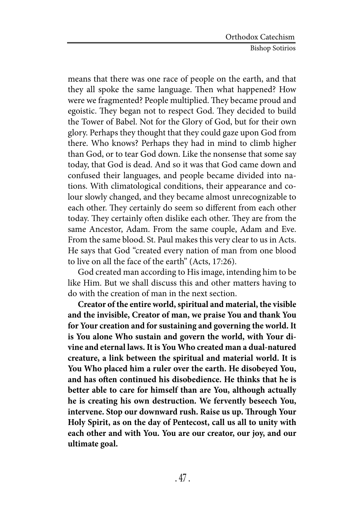means that there was one race of people on the earth, and that they all spoke the same language. Then what happened? How were we fragmented? People multiplied. They became proud and egoistic. They began not to respect God. They decided to build the Tower of Babel. Not for the Glory of God, but for their own glory. Perhaps they thought that they could gaze upon God from there. Who knows? Perhaps they had in mind to climb higher than God, or to tear God down. Like the nonsense that some say today, that God is dead. And so it was that God came down and confused their languages, and people became divided into nations. With climatological conditions, their appearance and colour slowly changed, and they became almost unrecognizable to each other. They certainly do seem so different from each other today. They certainly often dislike each other. They are from the same Ancestor, Adam. From the same couple, Adam and Eve. From the same blood. St. Paul makes this very clear to us in Acts. He says that God "created every nation of man from one blood to live on all the face of the earth" (Acts, 17:26).

God created man according to His image, intending him to be like Him. But we shall discuss this and other matters having to do with the creation of man in the next section.

**Creator of the entire world, spiritual and material, the visible and the invisible, Creator of man, we praise You and thank You for Your creation and for sustaining and governing the world. It is You alone Who sustain and govern the world, with Your divine and eternal laws. It is You Who created man a dual-natured creature, a link between the spiritual and material world. It is You Who placed him a ruler over the earth. He disobeyed You, and has often continued his disobedience. He thinks that he is better able to care for himself than are You, although actually he is creating his own destruction. We fervently beseech You, intervene. Stop our downward rush. Raise us up. Through Your Holy Spirit, as on the day of Pentecost, call us all to unity with each other and with You. You are our creator, our joy, and our ultimate goal.**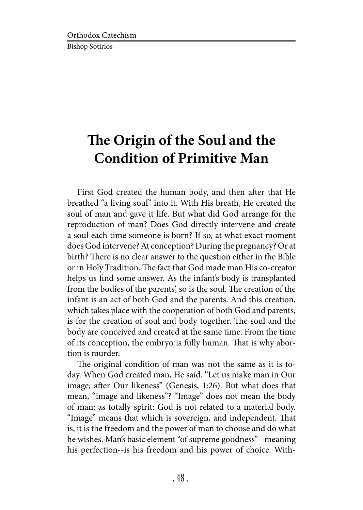# **The Origin of the Soul and the Condition of Primitive Man**

First God created the human body, and then after that He breathed "a living soul" into it. With His breath, He created the soul of man and gave it life. But what did God arrange for the reproduction of man? Does God directly intervene and create a soul each time someone is born? If so, at what exact moment does God intervene? At conception? During the pregnancy? Or at birth? There is no clear answer to the question either in the Bible or in Holy Tradition. The fact that God made man His co-creator helps us find some answer. As the infant's body is transplanted from the bodies of the parents', so is the soul. The creation of the infant is an act of both God and the parents. And this creation, which takes place with the cooperation of both God and parents, is for the creation of soul and body together. The soul and the body are conceived and created at the same time. From the time of its conception, the embryo is fully human. That is why abortion is murder.

The original condition of man was not the same as it is today. When God created man, He said. "Let us make man in Our image, after Our likeness" (Genesis, 1:26). But what does that mean, "image and likeness"? "Image" does not mean the body of man; as totally spirit: God is not related to a material body. "Image" means that which is sovereign, and independent. That is, it is the freedom and the power of man to choose and do what he wishes. Man's basic element "of supreme goodness"--meaning his perfection--is his freedom and his power of choice. With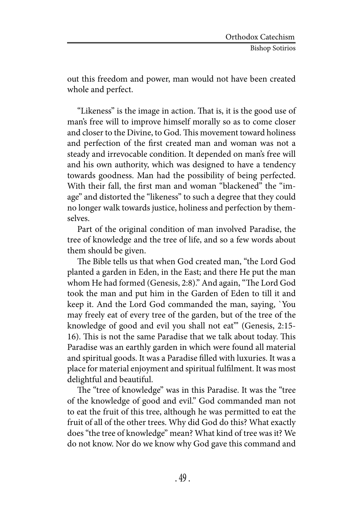out this freedom and power, man would not have been created whole and perfect.

"Likeness" is the image in action. That is, it is the good use of man's free will to improve himself morally so as to come closer and closer to the Divine, to God. This movement toward holiness and perfection of the first created man and woman was not a steady and irrevocable condition. It depended on man's free will and his own authority, which was designed to have a tendency towards goodness. Man had the possibility of being perfected. With their fall, the first man and woman "blackened" the "image" and distorted the "likeness" to such a degree that they could no longer walk towards justice, holiness and perfection by themselves.

Part of the original condition of man involved Paradise, the tree of knowledge and the tree of life, and so a few words about them should be given.

The Bible tells us that when God created man, "the Lord God planted a garden in Eden, in the East; and there He put the man whom He had formed (Genesis, 2:8)." And again, "The Lord God took the man and put him in the Garden of Eden to till it and keep it. And the Lord God commanded the man, saying, `You may freely eat of every tree of the garden, but of the tree of the knowledge of good and evil you shall not eat'" (Genesis, 2:15- 16). This is not the same Paradise that we talk about today. This Paradise was an earthly garden in which were found all material and spiritual goods. It was a Paradise filled with luxuries. It was a place for material enjoyment and spiritual fulfilment. It was most delightful and beautiful.

The "tree of knowledge" was in this Paradise. It was the "tree of the knowledge of good and evil." God commanded man not to eat the fruit of this tree, although he was permitted to eat the fruit of all of the other trees. Why did God do this? What exactly does "the tree of knowledge" mean? What kind of tree was it? We do not know. Nor do we know why God gave this command and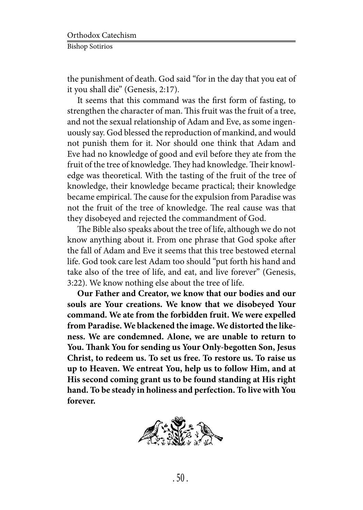the punishment of death. God said "for in the day that you eat of it you shall die" (Genesis, 2:17).

It seems that this command was the first form of fasting, to strengthen the character of man. This fruit was the fruit of a tree, and not the sexual relationship of Adam and Eve, as some ingenuously say. God blessed the reproduction of mankind, and would not punish them for it. Nor should one think that Adam and Eve had no knowledge of good and evil before they ate from the fruit of the tree of knowledge. They had knowledge. Their knowledge was theoretical. With the tasting of the fruit of the tree of knowledge, their knowledge became practical; their knowledge became empirical. The cause for the expulsion from Paradise was not the fruit of the tree of knowledge. The real cause was that they disobeyed and rejected the commandment of God.

The Bible also speaks about the tree of life, although we do not know anything about it. From one phrase that God spoke after the fall of Adam and Eve it seems that this tree bestowed eternal life. God took care lest Adam too should "put forth his hand and take also of the tree of life, and eat, and live forever" (Genesis, 3:22). We know nothing else about the tree of life.

**Our Father and Creator, we know that our bodies and our souls are Your creations. We know that we disobeyed Your command. We ate from the forbidden fruit. We were expelled from Paradise. We blackened the image. We distorted the likeness. We are condemned. Alone, we are unable to return to You. Thank You for sending us Your Only-begotten Son, Jesus Christ, to redeem us. To set us free. To restore us. To raise us up to Heaven. We entreat You, help us to follow Him, and at His second coming grant us to be found standing at His right hand. To be steady in holiness and perfection. To live with You forever.**

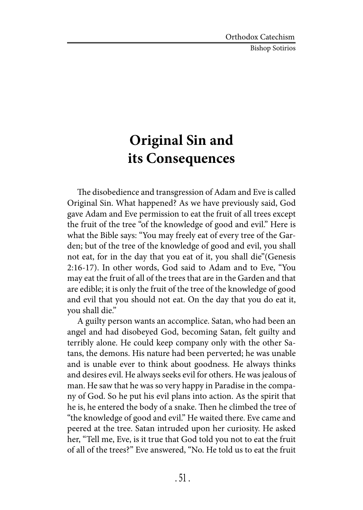Bishop Sotirios

## **Original Sin and its Consequences**

The disobedience and transgression of Adam and Eve is called Original Sin. What happened? As we have previously said, God gave Adam and Eve permission to eat the fruit of all trees except the fruit of the tree "of the knowledge of good and evil." Here is what the Bible says: "You may freely eat of every tree of the Garden; but of the tree of the knowledge of good and evil, you shall not eat, for in the day that you eat of it, you shall die"(Genesis 2:16-17). In other words, God said to Adam and to Eve, "You may eat the fruit of all of the trees that are in the Garden and that are edible; it is only the fruit of the tree of the knowledge of good and evil that you should not eat. On the day that you do eat it, you shall die."

A guilty person wants an accomplice. Satan, who had been an angel and had disobeyed God, becoming Satan, felt guilty and terribly alone. He could keep company only with the other Satans, the demons. His nature had been perverted; he was unable and is unable ever to think about goodness. He always thinks and desires evil. He always seeks evil for others. He was jealous of man. He saw that he was so very happy in Paradise in the company of God. So he put his evil plans into action. As the spirit that he is, he entered the body of a snake. Then he climbed the tree of "the knowledge of good and evil." He waited there. Eve came and peered at the tree. Satan intruded upon her curiosity. He asked her, "Tell me, Eve, is it true that God told you not to eat the fruit of all of the trees?" Eve answered, "No. He told us to eat the fruit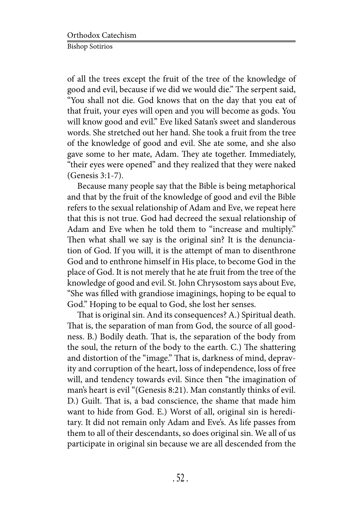of all the trees except the fruit of the tree of the knowledge of good and evil, because if we did we would die." The serpent said, "You shall not die. God knows that on the day that you eat of that fruit, your eyes will open and you will become as gods. You will know good and evil." Eve liked Satan's sweet and slanderous words. She stretched out her hand. She took a fruit from the tree of the knowledge of good and evil. She ate some, and she also gave some to her mate, Adam. They ate together. Immediately, "their eyes were opened" and they realized that they were naked (Genesis 3:1-7).

Because many people say that the Bible is being metaphorical and that by the fruit of the knowledge of good and evil the Bible refers to the sexual relationship of Adam and Eve, we repeat here that this is not true. God had decreed the sexual relationship of Adam and Eve when he told them to "increase and multiply." Then what shall we say is the original sin? It is the denunciation of God. If you will, it is the attempt of man to disenthrone God and to enthrone himself in His place, to become God in the place of God. It is not merely that he ate fruit from the tree of the knowledge of good and evil. St. John Chrysostom says about Eve, "She was filled with grandiose imaginings, hoping to be equal to God." Hoping to be equal to God, she lost her senses.

That is original sin. And its consequences? A.) Spiritual death. That is, the separation of man from God, the source of all goodness. B.) Bodily death. That is, the separation of the body from the soul, the return of the body to the earth. C.) The shattering and distortion of the "image." That is, darkness of mind, depravity and corruption of the heart, loss of independence, loss of free will, and tendency towards evil. Since then "the imagination of man's heart is evil "(Genesis 8:21). Man constantly thinks of evil. D.) Guilt. That is, a bad conscience, the shame that made him want to hide from God. E.) Worst of all, original sin is hereditary. It did not remain only Adam and Eve's. As life passes from them to all of their descendants, so does original sin. We all of us participate in original sin because we are all descended from the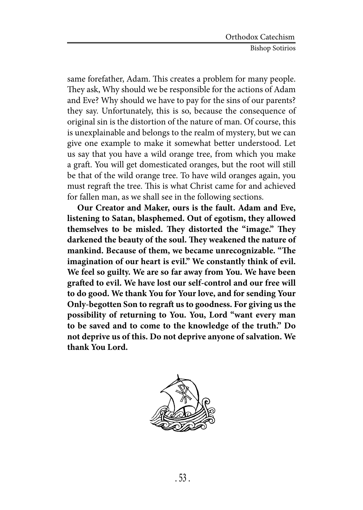same forefather, Adam. This creates a problem for many people. They ask, Why should we be responsible for the actions of Adam and Eve? Why should we have to pay for the sins of our parents? they say. Unfortunately, this is so, because the consequence of original sin is the distortion of the nature of man. Of course, this is unexplainable and belongs to the realm of mystery, but we can give one example to make it somewhat better understood. Let us say that you have a wild orange tree, from which you make a graft. You will get domesticated oranges, but the root will still be that of the wild orange tree. To have wild oranges again, you must regraft the tree. This is what Christ came for and achieved for fallen man, as we shall see in the following sections.

**Our Creator and Maker, ours is the fault. Adam and Eve, listening to Satan, blasphemed. Out of egotism, they allowed themselves to be misled. They distorted the "image." They darkened the beauty of the soul. They weakened the nature of mankind. Because of them, we became unrecognizable. "The imagination of our heart is evil." We constantly think of evil. We feel so guilty. We are so far away from You. We have been grafted to evil. We have lost our self-control and our free will to do good. We thank You for Your love, and for sending Your Only-begotten Son to regraft us to goodness. For giving us the possibility of returning to You. You, Lord "want every man to be saved and to come to the knowledge of the truth." Do not deprive us of this. Do not deprive anyone of salvation. We thank You Lord.**

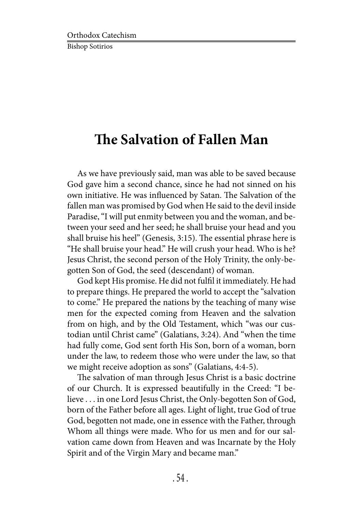## **The Salvation of Fallen Man**

As we have previously said, man was able to be saved because God gave him a second chance, since he had not sinned on his own initiative. He was influenced by Satan. The Salvation of the fallen man was promised by God when He said to the devil inside Paradise, "I will put enmity between you and the woman, and between your seed and her seed; he shall bruise your head and you shall bruise his heel" (Genesis, 3:15). The essential phrase here is "He shall bruise your head." He will crush your head. Who is he? Jesus Christ, the second person of the Holy Trinity, the only-begotten Son of God, the seed (descendant) of woman.

God kept His promise. He did not fulfil it immediately. He had to prepare things. He prepared the world to accept the "salvation to come." He prepared the nations by the teaching of many wise men for the expected coming from Heaven and the salvation from on high, and by the Old Testament, which "was our custodian until Christ came" (Galatians, 3:24). And "when the time had fully come, God sent forth His Son, born of a woman, born under the law, to redeem those who were under the law, so that we might receive adoption as sons" (Galatians, 4:4-5).

The salvation of man through Jesus Christ is a basic doctrine of our Church. It is expressed beautifully in the Creed: "I believe . . . in one Lord Jesus Christ, the Only-begotten Son of God, born of the Father before all ages. Light of light, true God of true God, begotten not made, one in essence with the Father, through Whom all things were made. Who for us men and for our salvation came down from Heaven and was Incarnate by the Holy Spirit and of the Virgin Mary and became man."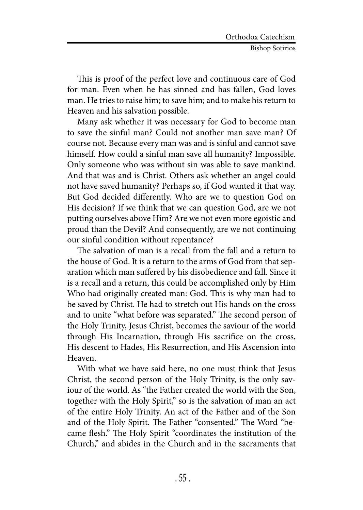This is proof of the perfect love and continuous care of God for man. Even when he has sinned and has fallen, God loves man. He tries to raise him; to save him; and to make his return to Heaven and his salvation possible.

Many ask whether it was necessary for God to become man to save the sinful man? Could not another man save man? Of course not. Because every man was and is sinful and cannot save himself. How could a sinful man save all humanity? Impossible. Only someone who was without sin was able to save mankind. And that was and is Christ. Others ask whether an angel could not have saved humanity? Perhaps so, if God wanted it that way. But God decided differently. Who are we to question God on His decision? If we think that we can question God, are we not putting ourselves above Him? Are we not even more egoistic and proud than the Devil? And consequently, are we not continuing our sinful condition without repentance?

The salvation of man is a recall from the fall and a return to the house of God. It is a return to the arms of God from that separation which man suffered by his disobedience and fall. Since it is a recall and a return, this could be accomplished only by Him Who had originally created man: God. This is why man had to be saved by Christ. He had to stretch out His hands on the cross and to unite "what before was separated." The second person of the Holy Trinity, Jesus Christ, becomes the saviour of the world through His Incarnation, through His sacrifice on the cross, His descent to Hades, His Resurrection, and His Ascension into Heaven.

With what we have said here, no one must think that Jesus Christ, the second person of the Holy Trinity, is the only saviour of the world. As "the Father created the world with the Son, together with the Holy Spirit," so is the salvation of man an act of the entire Holy Trinity. An act of the Father and of the Son and of the Holy Spirit. The Father "consented." The Word "became flesh." The Holy Spirit "coordinates the institution of the Church," and abides in the Church and in the sacraments that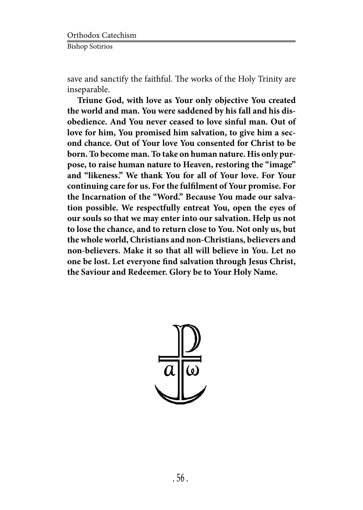save and sanctify the faithful. The works of the Holy Trinity are inseparable.

**Triune God, with love as Your only objective You created the world and man. You were saddened by his fall and his disobedience. And You never ceased to love sinful man. Out of love for him, You promised him salvation, to give him a second chance. Out of Your love You consented for Christ to be born. To become man. To take on human nature. His only purpose, to raise human nature to Heaven, restoring the "image" and "likeness." We thank You for all of Your love. For Your continuing care for us. For the fulfilment of Your promise. For the Incarnation of the "Word." Because You made our salvation possible. We respectfully entreat You, open the eyes of our souls so that we may enter into our salvation. Help us not to lose the chance, and to return close to You. Not only us, but the whole world, Christians and non-Christians, believers and non-believers. Make it so that all will believe in You. Let no one be lost. Let everyone find salvation through Jesus Christ, the Saviour and Redeemer. Glory be to Your Holy Name.**

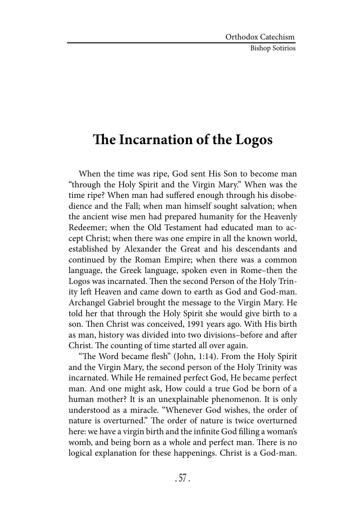Bishop Sotirios

#### **The Incarnation of the Logos**

When the time was ripe, God sent His Son to become man "through the Holy Spirit and the Virgin Mary." When was the time ripe? When man had suffered enough through his disobedience and the Fall; when man himself sought salvation; when the ancient wise men had prepared humanity for the Heavenly Redeemer; when the Old Testament had educated man to accept Christ; when there was one empire in all the known world, established by Alexander the Great and his descendants and continued by the Roman Empire; when there was a common language, the Greek language, spoken even in Rome–then the Logos was incarnated. Then the second Person of the Holy Trinity left Heaven and came down to earth as God and God-man. Archangel Gabriel brought the message to the Virgin Mary. He told her that through the Holy Spirit she would give birth to a son. Then Christ was conceived, 1991 years ago. With His birth as man, history was divided into two divisions–before and after Christ. The counting of time started all over again.

"The Word became flesh" (John, 1:14). From the Holy Spirit and the Virgin Mary, the second person of the Holy Trinity was incarnated. While He remained perfect God, He became perfect man. And one might ask, How could a true God be born of a human mother? It is an unexplainable phenomenon. It is only understood as a miracle. "Whenever God wishes, the order of nature is overturned." The order of nature is twice overturned here: we have a virgin birth and the infinite God filling a woman's womb, and being born as a whole and perfect man. There is no logical explanation for these happenings. Christ is a God-man.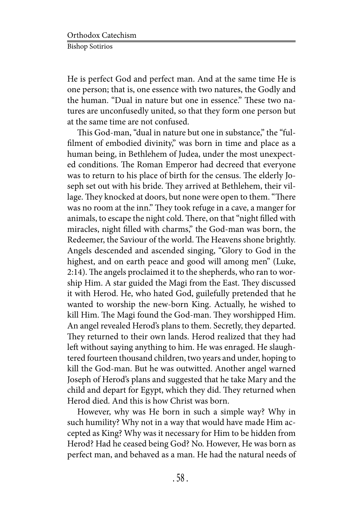He is perfect God and perfect man. And at the same time He is one person; that is, one essence with two natures, the Godly and the human. "Dual in nature but one in essence." These two natures are unconfusedly united, so that they form one person but at the same time are not confused.

This God-man, "dual in nature but one in substance," the "fulfilment of embodied divinity," was born in time and place as a human being, in Bethlehem of Judea, under the most unexpected conditions. The Roman Emperor had decreed that everyone was to return to his place of birth for the census. The elderly Joseph set out with his bride. They arrived at Bethlehem, their village. They knocked at doors, but none were open to them. "There was no room at the inn." They took refuge in a cave, a manger for animals, to escape the night cold. There, on that "night filled with miracles, night filled with charms," the God-man was born, the Redeemer, the Saviour of the world. The Heavens shone brightly. Angels descended and ascended singing, "Glory to God in the highest, and on earth peace and good will among men" (Luke, 2:14). The angels proclaimed it to the shepherds, who ran to worship Him. A star guided the Magi from the East. They discussed it with Herod. He, who hated God, guilefully pretended that he wanted to worship the new-born King. Actually, he wished to kill Him. The Magi found the God-man. They worshipped Him. An angel revealed Herod's plans to them. Secretly, they departed. They returned to their own lands. Herod realized that they had left without saying anything to him. He was enraged. He slaughtered fourteen thousand children, two years and under, hoping to kill the God-man. But he was outwitted. Another angel warned Joseph of Herod's plans and suggested that he take Mary and the child and depart for Egypt, which they did. They returned when Herod died. And this is how Christ was born.

However, why was He born in such a simple way? Why in such humility? Why not in a way that would have made Him accepted as King? Why was it necessary for Him to be hidden from Herod? Had he ceased being God? No. However, He was born as perfect man, and behaved as a man. He had the natural needs of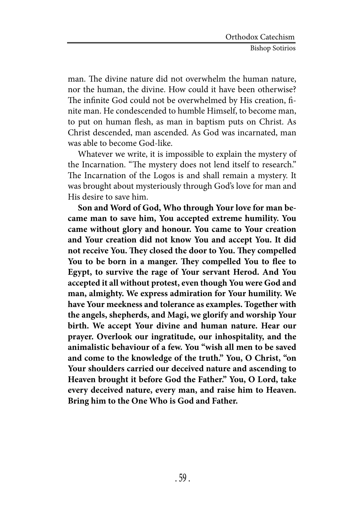man. The divine nature did not overwhelm the human nature, nor the human, the divine. How could it have been otherwise? The infinite God could not be overwhelmed by His creation, finite man. He condescended to humble Himself, to become man, to put on human flesh, as man in baptism puts on Christ. As Christ descended, man ascended. As God was incarnated, man was able to become God-like.

Whatever we write, it is impossible to explain the mystery of the Incarnation. "The mystery does not lend itself to research." The Incarnation of the Logos is and shall remain a mystery. It was brought about mysteriously through God's love for man and His desire to save him.

**Son and Word of God, Who through Your love for man became man to save him, You accepted extreme humility. You came without glory and honour. You came to Your creation and Your creation did not know You and accept You. It did not receive You. They closed the door to You. They compelled You to be born in a manger. They compelled You to flee to Egypt, to survive the rage of Your servant Herod. And You accepted it all without protest, even though You were God and man, almighty. We express admiration for Your humility. We have Your meekness and tolerance as examples. Together with the angels, shepherds, and Magi, we glorify and worship Your birth. We accept Your divine and human nature. Hear our prayer. Overlook our ingratitude, our inhospitality, and the animalistic behaviour of a few. You "wish all men to be saved and come to the knowledge of the truth." You, O Christ, "on Your shoulders carried our deceived nature and ascending to Heaven brought it before God the Father." You, O Lord, take every deceived nature, every man, and raise him to Heaven. Bring him to the One Who is God and Father.**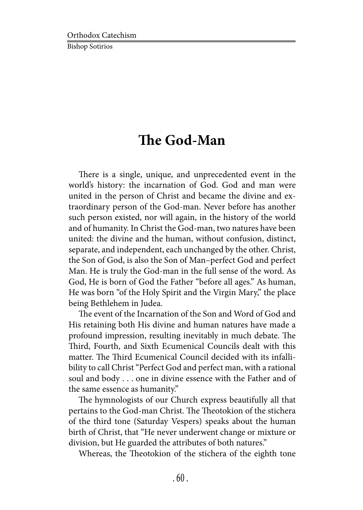#### **The God-Man**

There is a single, unique, and unprecedented event in the world's history: the incarnation of God. God and man were united in the person of Christ and became the divine and extraordinary person of the God-man. Never before has another such person existed, nor will again, in the history of the world and of humanity. In Christ the God-man, two natures have been united: the divine and the human, without confusion, distinct, separate, and independent, each unchanged by the other. Christ, the Son of God, is also the Son of Man–perfect God and perfect Man. He is truly the God-man in the full sense of the word. As God, He is born of God the Father "before all ages." As human, He was born "of the Holy Spirit and the Virgin Mary," the place being Bethlehem in Judea.

The event of the Incarnation of the Son and Word of God and His retaining both His divine and human natures have made a profound impression, resulting inevitably in much debate. The Third, Fourth, and Sixth Ecumenical Councils dealt with this matter. The Third Ecumenical Council decided with its infallibility to call Christ "Perfect God and perfect man, with a rational soul and body . . . one in divine essence with the Father and of the same essence as humanity."

The hymnologists of our Church express beautifully all that pertains to the God-man Christ. The Theotokion of the stichera of the third tone (Saturday Vespers) speaks about the human birth of Christ, that "He never underwent change or mixture or division, but He guarded the attributes of both natures."

Whereas, the Theotokion of the stichera of the eighth tone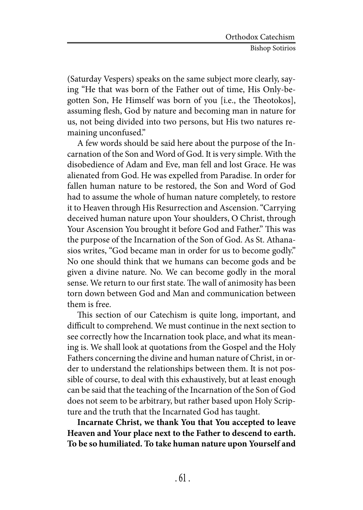(Saturday Vespers) speaks on the same subject more clearly, saying "He that was born of the Father out of time, His Only-begotten Son, He Himself was born of you [i.e., the Theotokos], assuming flesh, God by nature and becoming man in nature for us, not being divided into two persons, but His two natures remaining unconfused."

A few words should be said here about the purpose of the Incarnation of the Son and Word of God. It is very simple. With the disobedience of Adam and Eve, man fell and lost Grace. He was alienated from God. He was expelled from Paradise. In order for fallen human nature to be restored, the Son and Word of God had to assume the whole of human nature completely, to restore it to Heaven through His Resurrection and Ascension. "Carrying deceived human nature upon Your shoulders, O Christ, through Your Ascension You brought it before God and Father." This was the purpose of the Incarnation of the Son of God. As St. Athanasios writes, "God became man in order for us to become godly." No one should think that we humans can become gods and be given a divine nature. No. We can become godly in the moral sense. We return to our first state. The wall of animosity has been torn down between God and Man and communication between them is free.

This section of our Catechism is quite long, important, and difficult to comprehend. We must continue in the next section to see correctly how the Incarnation took place, and what its meaning is. We shall look at quotations from the Gospel and the Holy Fathers concerning the divine and human nature of Christ, in order to understand the relationships between them. It is not possible of course, to deal with this exhaustively, but at least enough can be said that the teaching of the Incarnation of the Son of God does not seem to be arbitrary, but rather based upon Holy Scripture and the truth that the Incarnated God has taught.

**Incarnate Christ, we thank You that You accepted to leave Heaven and Your place next to the Father to descend to earth. To be so humiliated. To take human nature upon Yourself and**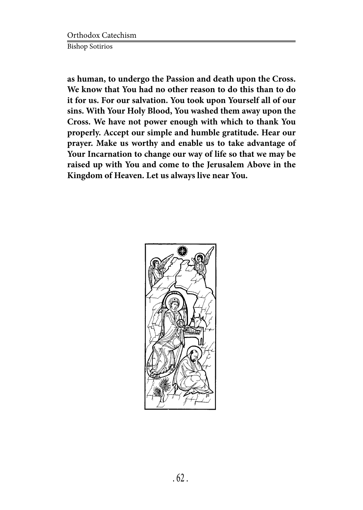Orthodox Catechism Bishop Sotirios

**as human, to undergo the Passion and death upon the Cross. We know that You had no other reason to do this than to do it for us. For our salvation. You took upon Yourself all of our sins. With Your Holy Blood, You washed them away upon the Cross. We have not power enough with which to thank You properly. Accept our simple and humble gratitude. Hear our prayer. Make us worthy and enable us to take advantage of Your Incarnation to change our way of life so that we may be raised up with You and come to the Jerusalem Above in the Kingdom of Heaven. Let us always live near You.**

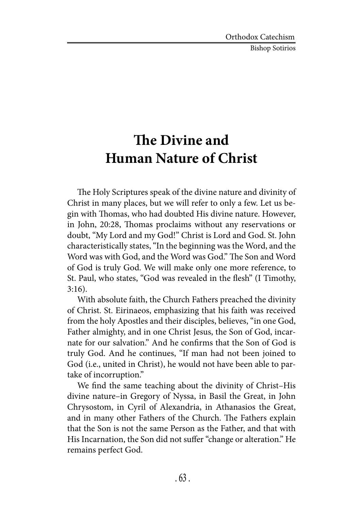Bishop Sotirios

## **The Divine and Human Nature of Christ**

The Holy Scriptures speak of the divine nature and divinity of Christ in many places, but we will refer to only a few. Let us begin with Thomas, who had doubted His divine nature. However, in John, 20:28, Thomas proclaims without any reservations or doubt, "My Lord and my God!" Christ is Lord and God. St. John characteristically states, "In the beginning was the Word, and the Word was with God, and the Word was God." The Son and Word of God is truly God. We will make only one more reference, to St. Paul, who states, "God was revealed in the flesh" (I Timothy, 3:16).

With absolute faith, the Church Fathers preached the divinity of Christ. St. Eirinaeos, emphasizing that his faith was received from the holy Apostles and their disciples, believes, "in one God, Father almighty, and in one Christ Jesus, the Son of God, incarnate for our salvation." And he confirms that the Son of God is truly God. And he continues, "If man had not been joined to God (i.e., united in Christ), he would not have been able to partake of incorruption."

We find the same teaching about the divinity of Christ–His divine nature–in Gregory of Nyssa, in Basil the Great, in John Chrysostom, in Cyril of Alexandria, in Athanasios the Great, and in many other Fathers of the Church. The Fathers explain that the Son is not the same Person as the Father, and that with His Incarnation, the Son did not suffer "change or alteration." He remains perfect God.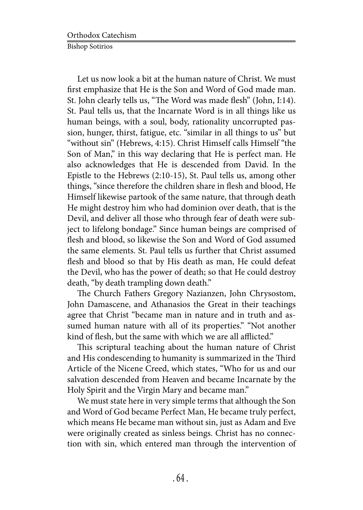Let us now look a bit at the human nature of Christ. We must first emphasize that He is the Son and Word of God made man. St. John clearly tells us, "The Word was made flesh" (John, I:14). St. Paul tells us, that the Incarnate Word is in all things like us human beings, with a soul, body, rationality uncorrupted passion, hunger, thirst, fatigue, etc. "similar in all things to us" but "without sin" (Hebrews, 4:15). Christ Himself calls Himself "the Son of Man," in this way declaring that He is perfect man. He also acknowledges that He is descended from David. In the Epistle to the Hebrews (2:10-15), St. Paul tells us, among other things, "since therefore the children share in flesh and blood, He Himself likewise partook of the same nature, that through death He might destroy him who had dominion over death, that is the Devil, and deliver all those who through fear of death were subject to lifelong bondage." Since human beings are comprised of flesh and blood, so likewise the Son and Word of God assumed the same elements. St. Paul tells us further that Christ assumed flesh and blood so that by His death as man, He could defeat the Devil, who has the power of death; so that He could destroy death, "by death trampling down death."

The Church Fathers Gregory Nazianzen, John Chrysostom, John Damascene, and Athanasios the Great in their teachings agree that Christ "became man in nature and in truth and assumed human nature with all of its properties." "Not another kind of flesh, but the same with which we are all afflicted."

This scriptural teaching about the human nature of Christ and His condescending to humanity is summarized in the Third Article of the Nicene Creed, which states, "Who for us and our salvation descended from Heaven and became Incarnate by the Holy Spirit and the Virgin Mary and became man."

We must state here in very simple terms that although the Son and Word of God became Perfect Man, He became truly perfect, which means He became man without sin, just as Adam and Eve were originally created as sinless beings. Christ has no connection with sin, which entered man through the intervention of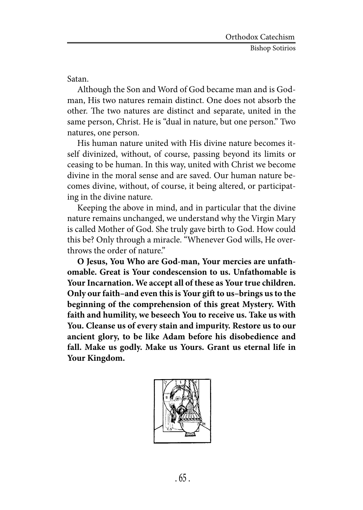Satan.

Although the Son and Word of God became man and is Godman, His two natures remain distinct. One does not absorb the other. The two natures are distinct and separate, united in the same person, Christ. He is "dual in nature, but one person." Two natures, one person.

His human nature united with His divine nature becomes itself divinized, without, of course, passing beyond its limits or ceasing to be human. In this way, united with Christ we become divine in the moral sense and are saved. Our human nature becomes divine, without, of course, it being altered, or participating in the divine nature.

Keeping the above in mind, and in particular that the divine nature remains unchanged, we understand why the Virgin Mary is called Mother of God. She truly gave birth to God. How could this be? Only through a miracle. "Whenever God wills, He overthrows the order of nature."

**O Jesus, You Who are God-man, Your mercies are unfathomable. Great is Your condescension to us. Unfathomable is Your Incarnation. We accept all of these as Your true children. Only our faith–and even this is Your gift to us–brings us to the beginning of the comprehension of this great Mystery. With faith and humility, we beseech You to receive us. Take us with You. Cleanse us of every stain and impurity. Restore us to our ancient glory, to be like Adam before his disobedience and fall. Make us godly. Make us Yours. Grant us eternal life in Your Kingdom.**

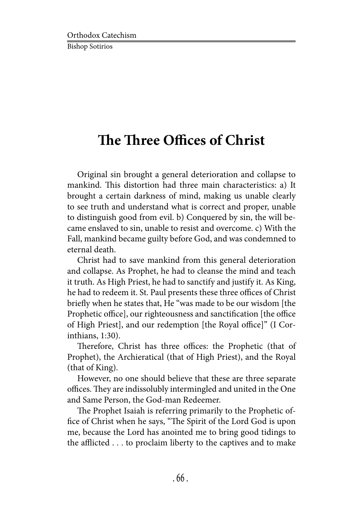## **The Three Offices of Christ**

Original sin brought a general deterioration and collapse to mankind. This distortion had three main characteristics: a) It brought a certain darkness of mind, making us unable clearly to see truth and understand what is correct and proper, unable to distinguish good from evil. b) Conquered by sin, the will became enslaved to sin, unable to resist and overcome. c) With the Fall, mankind became guilty before God, and was condemned to eternal death.

Christ had to save mankind from this general deterioration and collapse. As Prophet, he had to cleanse the mind and teach it truth. As High Priest, he had to sanctify and justify it. As King, he had to redeem it. St. Paul presents these three offices of Christ briefly when he states that, He "was made to be our wisdom [the Prophetic office], our righteousness and sanctification [the office of High Priest], and our redemption [the Royal office]" (I Corinthians, 1:30).

Therefore, Christ has three offices: the Prophetic (that of Prophet), the Archieratical (that of High Priest), and the Royal (that of King).

However, no one should believe that these are three separate offices. They are indissolubly intermingled and united in the One and Same Person, the God-man Redeemer.

The Prophet Isaiah is referring primarily to the Prophetic office of Christ when he says, "The Spirit of the Lord God is upon me, because the Lord has anointed me to bring good tidings to the afflicted . . . to proclaim liberty to the captives and to make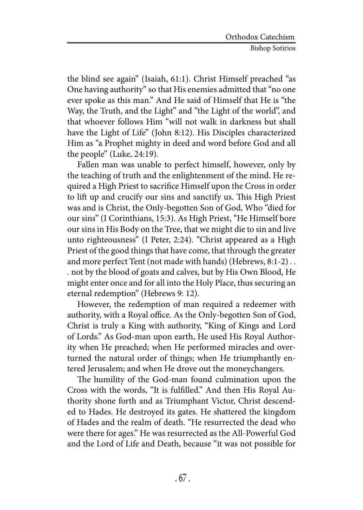the blind see again" (Isaiah, 61:1). Christ Himself preached "as One having authority" so that His enemies admitted that "no one ever spoke as this man." And He said of Himself that He is "the Way, the Truth, and the Light" and "the Light of the world", and that whoever follows Him "will not walk in darkness but shall have the Light of Life" (John 8:12). His Disciples characterized Him as "a Prophet mighty in deed and word before God and all the people" (Luke, 24:19).

Fallen man was unable to perfect himself, however, only by the teaching of truth and the enlightenment of the mind. He required a High Priest to sacrifice Himself upon the Cross in order to lift up and crucify our sins and sanctify us. This High Priest was and is Christ, the Only-begotten Son of God, Who "died for our sins" (I Corinthians, 15:3). As High Priest, "He Himself bore our sins in His Body on the Tree, that we might die to sin and live unto righteousness" (I Peter, 2:24). "Christ appeared as a High Priest of the good things that have come, that through the greater and more perfect Tent (not made with hands) (Hebrews, 8:1-2) . . . not by the blood of goats and calves, but by His Own Blood, He might enter once and for all into the Holy Place, thus securing an eternal redemption" (Hebrews 9: 12).

However, the redemption of man required a redeemer with authority, with a Royal office. As the Only-begotten Son of God, Christ is truly a King with authority, "King of Kings and Lord of Lords." As God-man upon earth, He used His Royal Authority when He preached; when He performed miracles and overturned the natural order of things; when He triumphantly entered Jerusalem; and when He drove out the moneychangers.

The humility of the God-man found culmination upon the Cross with the words, "It is fulfilled." And then His Royal Authority shone forth and as Triumphant Victor, Christ descended to Hades. He destroyed its gates. He shattered the kingdom of Hades and the realm of death. "He resurrected the dead who were there for ages." He was resurrected as the All-Powerful God and the Lord of Life and Death, because "it was not possible for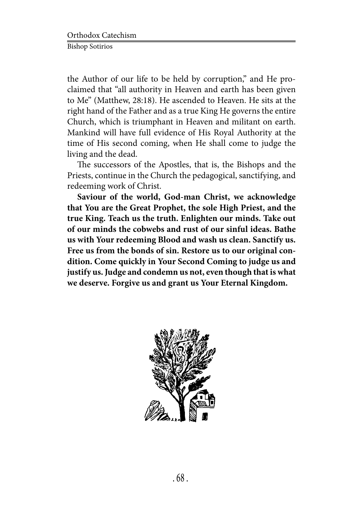the Author of our life to be held by corruption," and He proclaimed that "all authority in Heaven and earth has been given to Me" (Matthew, 28:18). He ascended to Heaven. He sits at the right hand of the Father and as a true King He governs the entire Church, which is triumphant in Heaven and militant on earth. Mankind will have full evidence of His Royal Authority at the time of His second coming, when He shall come to judge the living and the dead.

The successors of the Apostles, that is, the Bishops and the Priests, continue in the Church the pedagogical, sanctifying, and redeeming work of Christ.

**Saviour of the world, God-man Christ, we acknowledge that You are the Great Prophet, the sole High Priest, and the true King. Teach us the truth. Enlighten our minds. Take out of our minds the cobwebs and rust of our sinful ideas. Bathe us with Your redeeming Blood and wash us clean. Sanctify us. Free us from the bonds of sin. Restore us to our original condition. Come quickly in Your Second Coming to judge us and justify us. Judge and condemn us not, even though that is what we deserve. Forgive us and grant us Your Eternal Kingdom.**

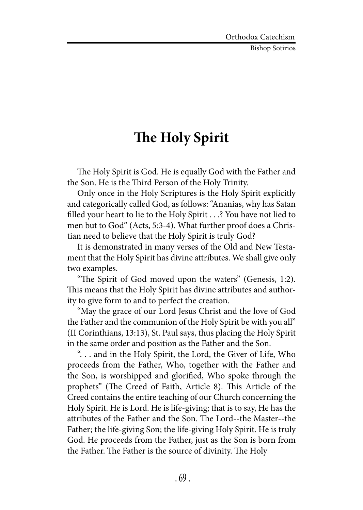Bishop Sotirios

### **The Holy Spirit**

The Holy Spirit is God. He is equally God with the Father and the Son. He is the Third Person of the Holy Trinity.

Only once in the Holy Scriptures is the Holy Spirit explicitly and categorically called God, as follows: "Ananias, why has Satan filled your heart to lie to the Holy Spirit . . .? You have not lied to men but to God" (Acts, 5:3-4). What further proof does a Christian need to believe that the Holy Spirit is truly God?

It is demonstrated in many verses of the Old and New Testament that the Holy Spirit has divine attributes. We shall give only two examples.

"The Spirit of God moved upon the waters" (Genesis, 1:2). This means that the Holy Spirit has divine attributes and authority to give form to and to perfect the creation.

"May the grace of our Lord Jesus Christ and the love of God the Father and the communion of the Holy Spirit be with you all" (II Corinthians, 13:13), St. Paul says, thus placing the Holy Spirit in the same order and position as the Father and the Son.

". . . and in the Holy Spirit, the Lord, the Giver of Life, Who proceeds from the Father, Who, together with the Father and the Son, is worshipped and glorified, Who spoke through the prophets" (The Creed of Faith, Article 8). This Article of the Creed contains the entire teaching of our Church concerning the Holy Spirit. He is Lord. He is life-giving; that is to say, He has the attributes of the Father and the Son. The Lord--the Master--the Father; the life-giving Son; the life-giving Holy Spirit. He is truly God. He proceeds from the Father, just as the Son is born from the Father. The Father is the source of divinity. The Holy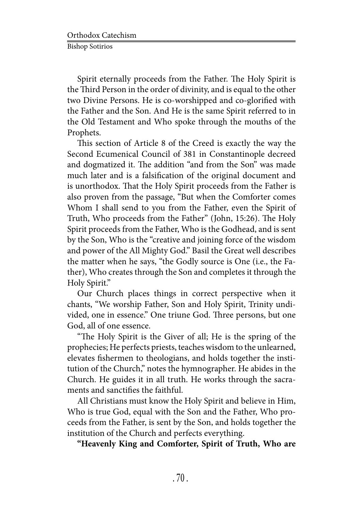Spirit eternally proceeds from the Father. The Holy Spirit is the Third Person in the order of divinity, and is equal to the other two Divine Persons. He is co-worshipped and co-glorified with the Father and the Son. And He is the same Spirit referred to in the Old Testament and Who spoke through the mouths of the Prophets.

This section of Article 8 of the Creed is exactly the way the Second Ecumenical Council of 381 in Constantinople decreed and dogmatized it. The addition "and from the Son" was made much later and is a falsification of the original document and is unorthodox. That the Holy Spirit proceeds from the Father is also proven from the passage, "But when the Comforter comes Whom I shall send to you from the Father, even the Spirit of Truth, Who proceeds from the Father" (John, 15:26). The Holy Spirit proceeds from the Father, Who is the Godhead, and is sent by the Son, Who is the "creative and joining force of the wisdom and power of the All Mighty God." Basil the Great well describes the matter when he says, "the Godly source is One (i.e., the Father), Who creates through the Son and completes it through the Holy Spirit."

Our Church places things in correct perspective when it chants, "We worship Father, Son and Holy Spirit, Trinity undivided, one in essence." One triune God. Three persons, but one God, all of one essence.

"The Holy Spirit is the Giver of all; He is the spring of the prophecies; He perfects priests, teaches wisdom to the unlearned, elevates fishermen to theologians, and holds together the institution of the Church," notes the hymnographer. He abides in the Church. He guides it in all truth. He works through the sacraments and sanctifies the faithful.

All Christians must know the Holy Spirit and believe in Him, Who is true God, equal with the Son and the Father, Who proceeds from the Father, is sent by the Son, and holds together the institution of the Church and perfects everything.

**"Heavenly King and Comforter, Spirit of Truth, Who are**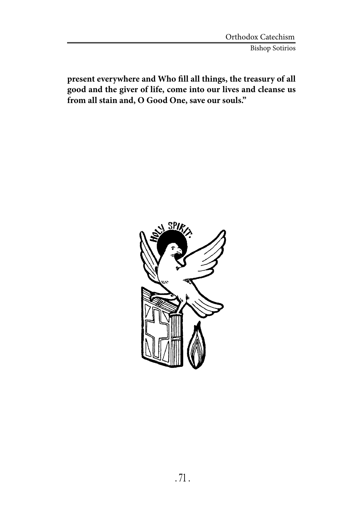**present everywhere and Who fill all things, the treasury of all good and the giver of life, come into our lives and cleanse us from all stain and, O Good One, save our souls."**

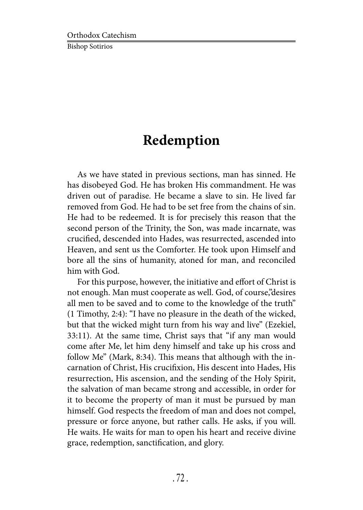## **Redemption**

As we have stated in previous sections, man has sinned. He has disobeyed God. He has broken His commandment. He was driven out of paradise. He became a slave to sin. He lived far removed from God. He had to be set free from the chains of sin. He had to be redeemed. It is for precisely this reason that the second person of the Trinity, the Son, was made incarnate, was crucified, descended into Hades, was resurrected, ascended into Heaven, and sent us the Comforter. He took upon Himself and bore all the sins of humanity, atoned for man, and reconciled him with God.

For this purpose, however, the initiative and effort of Christ is not enough. Man must cooperate as well. God, of course,"desires all men to be saved and to come to the knowledge of the truth" (1 Timothy, 2:4): "I have no pleasure in the death of the wicked, but that the wicked might turn from his way and live" (Ezekiel, 33:11). At the same time, Christ says that "if any man would come after Me, let him deny himself and take up his cross and follow Me" (Mark, 8:34). This means that although with the incarnation of Christ, His crucifixion, His descent into Hades, His resurrection, His ascension, and the sending of the Holy Spirit, the salvation of man became strong and accessible, in order for it to become the property of man it must be pursued by man himself. God respects the freedom of man and does not compel, pressure or force anyone, but rather calls. He asks, if you will. He waits. He waits for man to open his heart and receive divine grace, redemption, sanctification, and glory.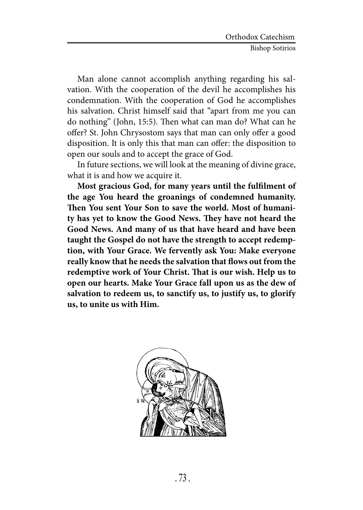Man alone cannot accomplish anything regarding his salvation. With the cooperation of the devil he accomplishes his condemnation. With the cooperation of God he accomplishes his salvation. Christ himself said that "apart from me you can do nothing" (John, 15:5). Then what can man do? What can he offer? St. John Chrysostom says that man can only offer a good disposition. It is only this that man can offer: the disposition to open our souls and to accept the grace of God.

In future sections, we will look at the meaning of divine grace, what it is and how we acquire it.

**Most gracious God, for many years until the fulfilment of the age You heard the groanings of condemned humanity. Then You sent Your Son to save the world. Most of humanity has yet to know the Good News. They have not heard the Good News. And many of us that have heard and have been taught the Gospel do not have the strength to accept redemption, with Your Grace. We fervently ask You: Make everyone really know that he needs the salvation that flows out from the redemptive work of Your Christ. That is our wish. Help us to open our hearts. Make Your Grace fall upon us as the dew of salvation to redeem us, to sanctify us, to justify us, to glorify us, to unite us with Him.**

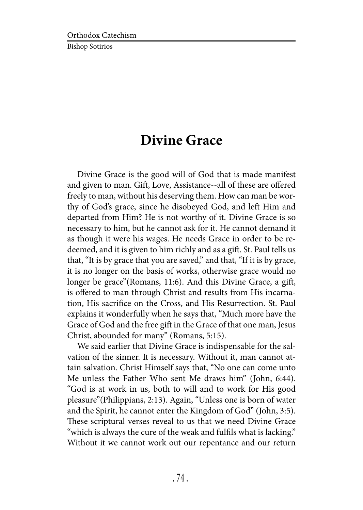### **Divine Grace**

Divine Grace is the good will of God that is made manifest and given to man. Gift, Love, Assistance--all of these are offered freely to man, without his deserving them. How can man be worthy of God's grace, since he disobeyed God, and left Him and departed from Him? He is not worthy of it. Divine Grace is so necessary to him, but he cannot ask for it. He cannot demand it as though it were his wages. He needs Grace in order to be redeemed, and it is given to him richly and as a gift. St. Paul tells us that, "It is by grace that you are saved," and that, "If it is by grace, it is no longer on the basis of works, otherwise grace would no longer be grace"(Romans, 11:6). And this Divine Grace, a gift, is offered to man through Christ and results from His incarnation, His sacrifice on the Cross, and His Resurrection. St. Paul explains it wonderfully when he says that, "Much more have the Grace of God and the free gift in the Grace of that one man, Jesus Christ, abounded for many" (Romans, 5:15).

We said earlier that Divine Grace is indispensable for the salvation of the sinner. It is necessary. Without it, man cannot attain salvation. Christ Himself says that, "No one can come unto Me unless the Father Who sent Me draws him" (John, 6:44). "God is at work in us, both to will and to work for His good pleasure"(Philippians, 2:13). Again, "Unless one is born of water and the Spirit, he cannot enter the Kingdom of God" (John, 3:5). These scriptural verses reveal to us that we need Divine Grace "which is always the cure of the weak and fulfils what is lacking." Without it we cannot work out our repentance and our return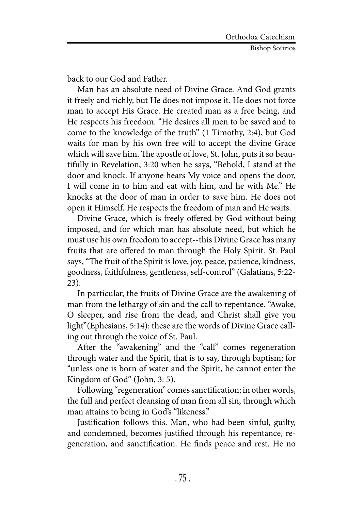back to our God and Father.

Man has an absolute need of Divine Grace. And God grants it freely and richly, but He does not impose it. He does not force man to accept His Grace. He created man as a free being, and He respects his freedom. "He desires all men to be saved and to come to the knowledge of the truth" (1 Timothy, 2:4), but God waits for man by his own free will to accept the divine Grace which will save him. The apostle of love, St. John, puts it so beautifully in Revelation, 3:20 when he says, "Behold, I stand at the door and knock. If anyone hears My voice and opens the door, I will come in to him and eat with him, and he with Me." He knocks at the door of man in order to save him. He does not open it Himself. He respects the freedom of man and He waits.

Divine Grace, which is freely offered by God without being imposed, and for which man has absolute need, but which he must use his own freedom to accept--this Divine Grace has many fruits that are offered to man through the Holy Spirit. St. Paul says, "The fruit of the Spirit is love, joy, peace, patience, kindness, goodness, faithfulness, gentleness, self-control" (Galatians, 5:22- 23).

In particular, the fruits of Divine Grace are the awakening of man from the lethargy of sin and the call to repentance. "Awake, O sleeper, and rise from the dead, and Christ shall give you light"(Ephesians, 5:14): these are the words of Divine Grace calling out through the voice of St. Paul.

After the "awakening" and the "call" comes regeneration through water and the Spirit, that is to say, through baptism; for "unless one is born of water and the Spirit, he cannot enter the Kingdom of God" (John, 3: 5).

Following "regeneration" comes sanctification; in other words, the full and perfect cleansing of man from all sin, through which man attains to being in God's "likeness."

Justification follows this. Man, who had been sinful, guilty, and condemned, becomes justified through his repentance, regeneration, and sanctification. He finds peace and rest. He no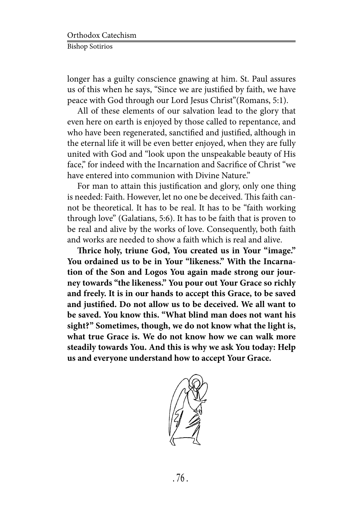longer has a guilty conscience gnawing at him. St. Paul assures us of this when he says, "Since we are justified by faith, we have peace with God through our Lord Jesus Christ"(Romans, 5:1).

All of these elements of our salvation lead to the glory that even here on earth is enjoyed by those called to repentance, and who have been regenerated, sanctified and justified, although in the eternal life it will be even better enjoyed, when they are fully united with God and "look upon the unspeakable beauty of His face," for indeed with the Incarnation and Sacrifice of Christ "we have entered into communion with Divine Nature."

For man to attain this justification and glory, only one thing is needed: Faith. However, let no one be deceived. This faith cannot be theoretical. It has to be real. It has to be "faith working through love" (Galatians, 5:6). It has to be faith that is proven to be real and alive by the works of love. Consequently, both faith and works are needed to show a faith which is real and alive.

**Thrice holy, triune God, You created us in Your "image." You ordained us to be in Your "likeness." With the Incarnation of the Son and Logos You again made strong our journey towards "the likeness." You pour out Your Grace so richly and freely. It is in our hands to accept this Grace, to be saved and justified. Do not allow us to be deceived. We all want to be saved. You know this. "What blind man does not want his sight?" Sometimes, though, we do not know what the light is, what true Grace is. We do not know how we can walk more steadily towards You. And this is why we ask You today: Help us and everyone understand how to accept Your Grace.**

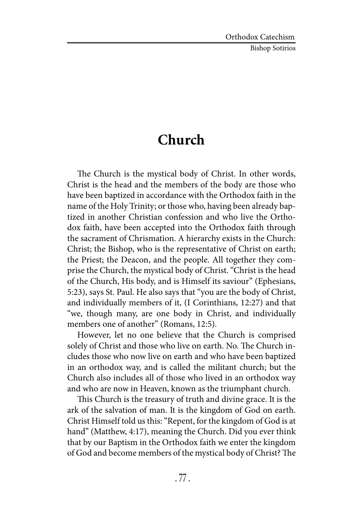## **Church**

The Church is the mystical body of Christ. In other words, Christ is the head and the members of the body are those who have been baptized in accordance with the Orthodox faith in the name of the Holy Trinity; or those who, having been already baptized in another Christian confession and who live the Orthodox faith, have been accepted into the Orthodox faith through the sacrament of Chrismation. A hierarchy exists in the Church: Christ; the Bishop, who is the representative of Christ on earth; the Priest; the Deacon, and the people. All together they comprise the Church, the mystical body of Christ. "Christ is the head of the Church, His body, and is Himself its saviour" (Ephesians, 5:23), says St. Paul. He also says that "you are the body of Christ, and individually members of it, (I Corinthians, 12:27) and that "we, though many, are one body in Christ, and individually members one of another" (Romans, 12:5).

However, let no one believe that the Church is comprised solely of Christ and those who live on earth. No. The Church includes those who now live on earth and who have been baptized in an orthodox way, and is called the militant church; but the Church also includes all of those who lived in an orthodox way and who are now in Heaven, known as the triumphant church.

This Church is the treasury of truth and divine grace. It is the ark of the salvation of man. It is the kingdom of God on earth. Christ Himself told us this: "Repent, for the kingdom of God is at hand" (Matthew, 4:17), meaning the Church. Did you ever think that by our Baptism in the Orthodox faith we enter the kingdom of God and become members of the mystical body of Christ? The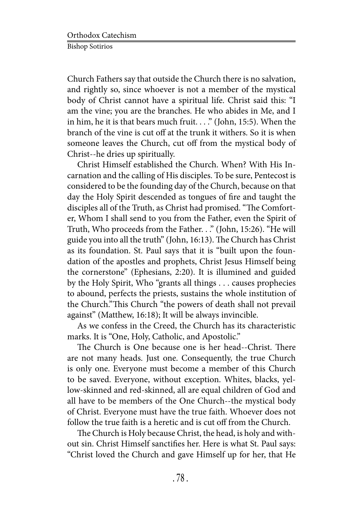Church Fathers say that outside the Church there is no salvation, and rightly so, since whoever is not a member of the mystical body of Christ cannot have a spiritual life. Christ said this: "I am the vine; you are the branches. He who abides in Me, and I in him, he it is that bears much fruit...." (John, 15:5). When the branch of the vine is cut off at the trunk it withers. So it is when someone leaves the Church, cut off from the mystical body of Christ--he dries up spiritually.

Christ Himself established the Church. When? With His Incarnation and the calling of His disciples. To be sure, Pentecost is considered to be the founding day of the Church, because on that day the Holy Spirit descended as tongues of fire and taught the disciples all of the Truth, as Christ had promised. "The Comforter, Whom I shall send to you from the Father, even the Spirit of Truth, Who proceeds from the Father. . ." (John, 15:26). "He will guide you into all the truth" (John, 16:13). The Church has Christ as its foundation. St. Paul says that it is "built upon the foundation of the apostles and prophets, Christ Jesus Himself being the cornerstone" (Ephesians, 2:20). It is illumined and guided by the Holy Spirit, Who "grants all things . . . causes prophecies to abound, perfects the priests, sustains the whole institution of the Church."This Church "the powers of death shall not prevail against" (Matthew, 16:18); It will be always invincible.

As we confess in the Creed, the Church has its characteristic marks. It is "One, Holy, Catholic, and Apostolic."

The Church is One because one is her head--Christ. There are not many heads. Just one. Consequently, the true Church is only one. Everyone must become a member of this Church to be saved. Everyone, without exception. Whites, blacks, yellow-skinned and red-skinned, all are equal children of God and all have to be members of the One Church--the mystical body of Christ. Everyone must have the true faith. Whoever does not follow the true faith is a heretic and is cut off from the Church.

The Church is Holy because Christ, the head, is holy and without sin. Christ Himself sanctifies her. Here is what St. Paul says: "Christ loved the Church and gave Himself up for her, that He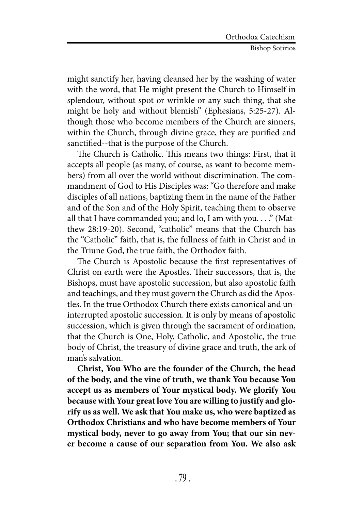might sanctify her, having cleansed her by the washing of water with the word, that He might present the Church to Himself in splendour, without spot or wrinkle or any such thing, that she might be holy and without blemish" (Ephesians, 5:25-27). Although those who become members of the Church are sinners, within the Church, through divine grace, they are purified and sanctified--that is the purpose of the Church.

The Church is Catholic. This means two things: First, that it accepts all people (as many, of course, as want to become members) from all over the world without discrimination. The commandment of God to His Disciples was: "Go therefore and make disciples of all nations, baptizing them in the name of the Father and of the Son and of the Holy Spirit, teaching them to observe all that I have commanded you; and lo, I am with you. . . ." (Matthew 28:19-20). Second, "catholic" means that the Church has the "Catholic" faith, that is, the fullness of faith in Christ and in the Triune God, the true faith, the Orthodox faith.

The Church is Apostolic because the first representatives of Christ on earth were the Apostles. Their successors, that is, the Bishops, must have apostolic succession, but also apostolic faith and teachings, and they must govern the Church as did the Apostles. In the true Orthodox Church there exists canonical and uninterrupted apostolic succession. It is only by means of apostolic succession, which is given through the sacrament of ordination, that the Church is One, Holy, Catholic, and Apostolic, the true body of Christ, the treasury of divine grace and truth, the ark of man's salvation.

**Christ, You Who are the founder of the Church, the head of the body, and the vine of truth, we thank You because You accept us as members of Your mystical body. We glorify You because with Your great love You are willing to justify and glorify us as well. We ask that You make us, who were baptized as Orthodox Christians and who have become members of Your mystical body, never to go away from You; that our sin never become a cause of our separation from You. We also ask**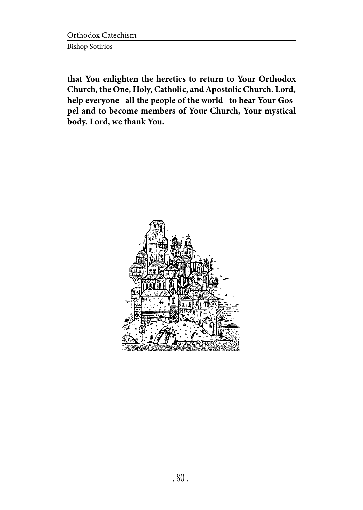Orthodox Catechism Bishop Sotirios

**that You enlighten the heretics to return to Your Orthodox Church, the One, Holy, Catholic, and Apostolic Church. Lord, help everyone--all the people of the world--to hear Your Gospel and to become members of Your Church, Your mystical body. Lord, we thank You.**

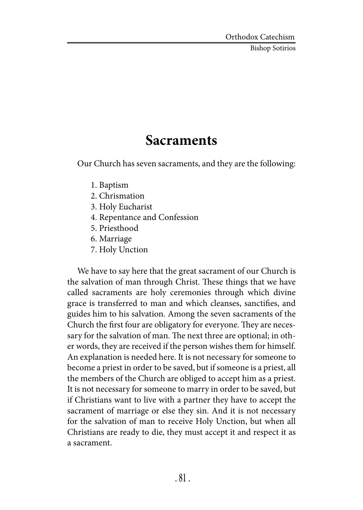## **Sacraments**

Our Church has seven sacraments, and they are the following:

- 1. Baptism
- 2. Chrismation
- 3. Holy Eucharist
- 4. Repentance and Confession
- 5. Priesthood
- 6. Marriage
- 7. Holy Unction

We have to say here that the great sacrament of our Church is the salvation of man through Christ. These things that we have called sacraments are holy ceremonies through which divine grace is transferred to man and which cleanses, sanctifies, and guides him to his salvation. Among the seven sacraments of the Church the first four are obligatory for everyone. They are necessary for the salvation of man. The next three are optional; in other words, they are received if the person wishes them for himself. An explanation is needed here. It is not necessary for someone to become a priest in order to be saved, but if someone is a priest, all the members of the Church are obliged to accept him as a priest. It is not necessary for someone to marry in order to be saved, but if Christians want to live with a partner they have to accept the sacrament of marriage or else they sin. And it is not necessary for the salvation of man to receive Holy Unction, but when all Christians are ready to die, they must accept it and respect it as a sacrament.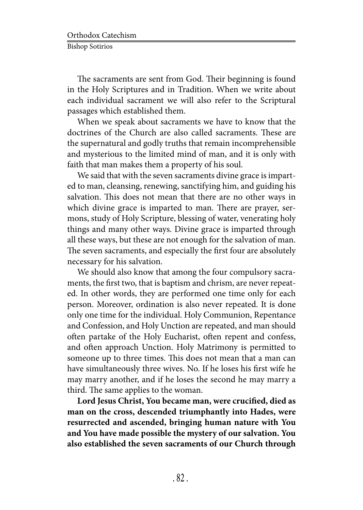The sacraments are sent from God. Their beginning is found in the Holy Scriptures and in Tradition. When we write about each individual sacrament we will also refer to the Scriptural passages which established them.

When we speak about sacraments we have to know that the doctrines of the Church are also called sacraments. These are the supernatural and godly truths that remain incomprehensible and mysterious to the limited mind of man, and it is only with faith that man makes them a property of his soul.

We said that with the seven sacraments divine grace is imparted to man, cleansing, renewing, sanctifying him, and guiding his salvation. This does not mean that there are no other ways in which divine grace is imparted to man. There are prayer, sermons, study of Holy Scripture, blessing of water, venerating holy things and many other ways. Divine grace is imparted through all these ways, but these are not enough for the salvation of man. The seven sacraments, and especially the first four are absolutely necessary for his salvation.

We should also know that among the four compulsory sacraments, the first two, that is baptism and chrism, are never repeated. In other words, they are performed one time only for each person. Moreover, ordination is also never repeated. It is done only one time for the individual. Holy Communion, Repentance and Confession, and Holy Unction are repeated, and man should often partake of the Holy Eucharist, often repent and confess, and often approach Unction. Holy Matrimony is permitted to someone up to three times. This does not mean that a man can have simultaneously three wives. No. If he loses his first wife he may marry another, and if he loses the second he may marry a third. The same applies to the woman.

**Lord Jesus Christ, You became man, were crucified, died as man on the cross, descended triumphantly into Hades, were resurrected and ascended, bringing human nature with You and You have made possible the mystery of our salvation. You also established the seven sacraments of our Church through**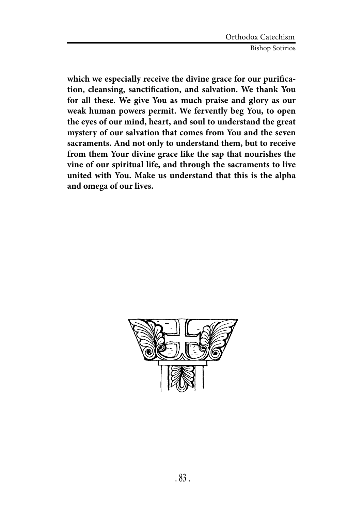**which we especially receive the divine grace for our purification, cleansing, sanctification, and salvation. We thank You for all these. We give You as much praise and glory as our weak human powers permit. We fervently beg You, to open the eyes of our mind, heart, and soul to understand the great mystery of our salvation that comes from You and the seven sacraments. And not only to understand them, but to receive from them Your divine grace like the sap that nourishes the vine of our spiritual life, and through the sacraments to live united with You. Make us understand that this is the alpha and omega of our lives.**

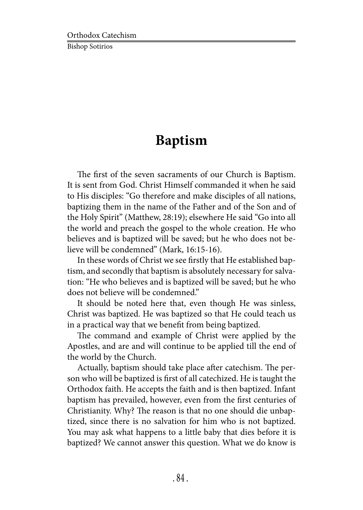# **Baptism**

The first of the seven sacraments of our Church is Baptism. It is sent from God. Christ Himself commanded it when he said to His disciples: "Go therefore and make disciples of all nations, baptizing them in the name of the Father and of the Son and of the Holy Spirit" (Matthew, 28:19); elsewhere He said "Go into all the world and preach the gospel to the whole creation. He who believes and is baptized will be saved; but he who does not believe will be condemned" (Mark, 16:15-16).

In these words of Christ we see firstly that He established baptism, and secondly that baptism is absolutely necessary for salvation: "He who believes and is baptized will be saved; but he who does not believe will be condemned."

It should be noted here that, even though He was sinless, Christ was baptized. He was baptized so that He could teach us in a practical way that we benefit from being baptized.

The command and example of Christ were applied by the Apostles, and are and will continue to be applied till the end of the world by the Church.

Actually, baptism should take place after catechism. The person who will be baptized is first of all catechized. He is taught the Orthodox faith. He accepts the faith and is then baptized. Infant baptism has prevailed, however, even from the first centuries of Christianity. Why? The reason is that no one should die unbaptized, since there is no salvation for him who is not baptized. You may ask what happens to a little baby that dies before it is baptized? We cannot answer this question. What we do know is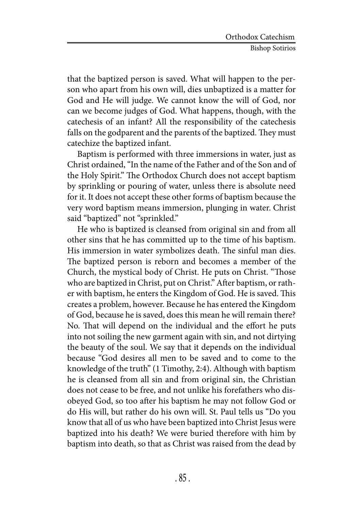that the baptized person is saved. What will happen to the person who apart from his own will, dies unbaptized is a matter for God and He will judge. We cannot know the will of God, nor can we become judges of God. What happens, though, with the catechesis of an infant? All the responsibility of the catechesis falls on the godparent and the parents of the baptized. They must catechize the baptized infant.

Baptism is performed with three immersions in water, just as Christ ordained, "In the name of the Father and of the Son and of the Holy Spirit." The Orthodox Church does not accept baptism by sprinkling or pouring of water, unless there is absolute need for it. It does not accept these other forms of baptism because the very word baptism means immersion, plunging in water. Christ said "baptized" not "sprinkled."

He who is baptized is cleansed from original sin and from all other sins that he has committed up to the time of his baptism. His immersion in water symbolizes death. The sinful man dies. The baptized person is reborn and becomes a member of the Church, the mystical body of Christ. He puts on Christ. "Those who are baptized in Christ, put on Christ." After baptism, or rather with baptism, he enters the Kingdom of God. He is saved. This creates a problem, however. Because he has entered the Kingdom of God, because he is saved, does this mean he will remain there? No. That will depend on the individual and the effort he puts into not soiling the new garment again with sin, and not dirtying the beauty of the soul. We say that it depends on the individual because "God desires all men to be saved and to come to the knowledge of the truth" (1 Timothy, 2:4). Although with baptism he is cleansed from all sin and from original sin, the Christian does not cease to be free, and not unlike his forefathers who disobeyed God, so too after his baptism he may not follow God or do His will, but rather do his own will. St. Paul tells us "Do you know that all of us who have been baptized into Christ Jesus were baptized into his death? We were buried therefore with him by baptism into death, so that as Christ was raised from the dead by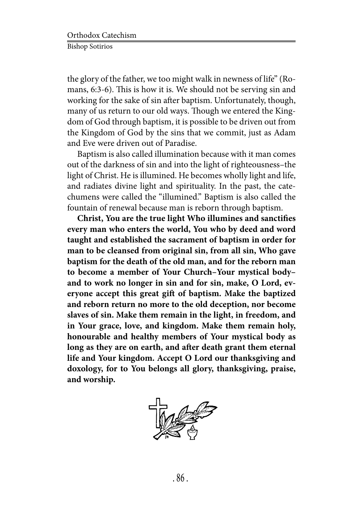the glory of the father, we too might walk in newness of life" (Romans, 6:3-6). This is how it is. We should not be serving sin and working for the sake of sin after baptism. Unfortunately, though, many of us return to our old ways. Though we entered the Kingdom of God through baptism, it is possible to be driven out from the Kingdom of God by the sins that we commit, just as Adam and Eve were driven out of Paradise.

Baptism is also called illumination because with it man comes out of the darkness of sin and into the light of righteousness–the light of Christ. He is illumined. He becomes wholly light and life, and radiates divine light and spirituality. In the past, the catechumens were called the "illumined." Baptism is also called the fountain of renewal because man is reborn through baptism.

**Christ, You are the true light Who illumines and sanctifies every man who enters the world, You who by deed and word taught and established the sacrament of baptism in order for man to be cleansed from original sin, from all sin, Who gave baptism for the death of the old man, and for the reborn man to become a member of Your Church–Your mystical body– and to work no longer in sin and for sin, make, O Lord, everyone accept this great gift of baptism. Make the baptized and reborn return no more to the old deception, nor become slaves of sin. Make them remain in the light, in freedom, and in Your grace, love, and kingdom. Make them remain holy, honourable and healthy members of Your mystical body as long as they are on earth, and after death grant them eternal life and Your kingdom. Accept O Lord our thanksgiving and doxology, for to You belongs all glory, thanksgiving, praise, and worship.**

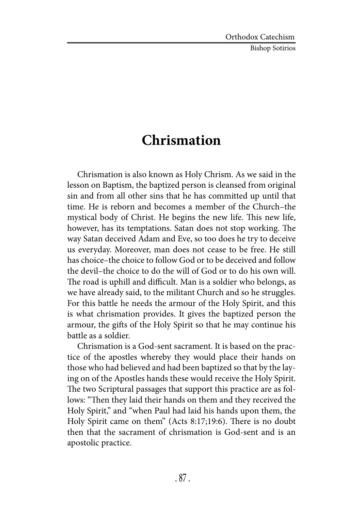# **Chrismation**

Chrismation is also known as Holy Chrism. As we said in the lesson on Baptism, the baptized person is cleansed from original sin and from all other sins that he has committed up until that time. He is reborn and becomes a member of the Church–the mystical body of Christ. He begins the new life. This new life, however, has its temptations. Satan does not stop working. The way Satan deceived Adam and Eve, so too does he try to deceive us everyday. Moreover, man does not cease to be free. He still has choice–the choice to follow God or to be deceived and follow the devil–the choice to do the will of God or to do his own will. The road is uphill and difficult. Man is a soldier who belongs, as we have already said, to the militant Church and so he struggles. For this battle he needs the armour of the Holy Spirit, and this is what chrismation provides. It gives the baptized person the armour, the gifts of the Holy Spirit so that he may continue his battle as a soldier.

Chrismation is a God-sent sacrament. It is based on the practice of the apostles whereby they would place their hands on those who had believed and had been baptized so that by the laying on of the Apostles hands these would receive the Holy Spirit. The two Scriptural passages that support this practice are as follows: "Then they laid their hands on them and they received the Holy Spirit," and "when Paul had laid his hands upon them, the Holy Spirit came on them" (Acts 8:17;19:6). There is no doubt then that the sacrament of chrismation is God-sent and is an apostolic practice.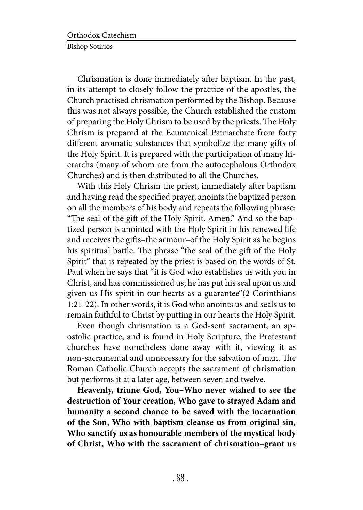Chrismation is done immediately after baptism. In the past, in its attempt to closely follow the practice of the apostles, the Church practised chrismation performed by the Bishop. Because this was not always possible, the Church established the custom of preparing the Holy Chrism to be used by the priests. The Holy Chrism is prepared at the Ecumenical Patriarchate from forty different aromatic substances that symbolize the many gifts of the Holy Spirit. It is prepared with the participation of many hierarchs (many of whom are from the autocephalous Orthodox Churches) and is then distributed to all the Churches.

With this Holy Chrism the priest, immediately after baptism and having read the specified prayer, anoints the baptized person on all the members of his body and repeats the following phrase: "The seal of the gift of the Holy Spirit. Amen." And so the baptized person is anointed with the Holy Spirit in his renewed life and receives the gifts–the armour–of the Holy Spirit as he begins his spiritual battle. The phrase "the seal of the gift of the Holy Spirit" that is repeated by the priest is based on the words of St. Paul when he says that "it is God who establishes us with you in Christ, and has commissioned us; he has put his seal upon us and given us His spirit in our hearts as a guarantee"(2 Corinthians 1:21-22). In other words, it is God who anoints us and seals us to remain faithful to Christ by putting in our hearts the Holy Spirit.

Even though chrismation is a God-sent sacrament, an apostolic practice, and is found in Holy Scripture, the Protestant churches have nonetheless done away with it, viewing it as non-sacramental and unnecessary for the salvation of man. The Roman Catholic Church accepts the sacrament of chrismation but performs it at a later age, between seven and twelve.

**Heavenly, triune God, You–Who never wished to see the destruction of Your creation, Who gave to strayed Adam and humanity a second chance to be saved with the incarnation of the Son, Who with baptism cleanse us from original sin, Who sanctify us as honourable members of the mystical body of Christ, Who with the sacrament of chrismation–grant us**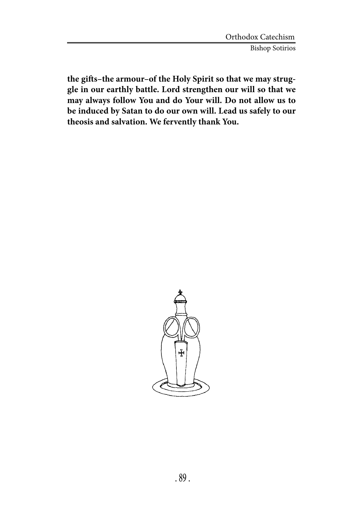**the gifts–the armour–of the Holy Spirit so that we may struggle in our earthly battle. Lord strengthen our will so that we may always follow You and do Your will. Do not allow us to be induced by Satan to do our own will. Lead us safely to our theosis and salvation. We fervently thank You.**

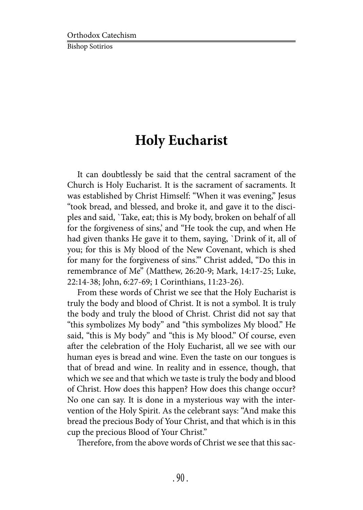# **Holy Eucharist**

It can doubtlessly be said that the central sacrament of the Church is Holy Eucharist. It is the sacrament of sacraments. It was established by Christ Himself: "When it was evening," Jesus "took bread, and blessed, and broke it, and gave it to the disciples and said, `Take, eat; this is My body, broken on behalf of all for the forgiveness of sins,' and "He took the cup, and when He had given thanks He gave it to them, saying, `Drink of it, all of you; for this is My blood of the New Covenant, which is shed for many for the forgiveness of sins.'" Christ added, "Do this in remembrance of Me" (Matthew, 26:20-9; Mark, 14:17-25; Luke, 22:14-38; John, 6:27-69; 1 Corinthians, 11:23-26).

From these words of Christ we see that the Holy Eucharist is truly the body and blood of Christ. It is not a symbol. It is truly the body and truly the blood of Christ. Christ did not say that "this symbolizes My body" and "this symbolizes My blood." He said, "this is My body" and "this is My blood." Of course, even after the celebration of the Holy Eucharist, all we see with our human eyes is bread and wine. Even the taste on our tongues is that of bread and wine. In reality and in essence, though, that which we see and that which we taste is truly the body and blood of Christ. How does this happen? How does this change occur? No one can say. It is done in a mysterious way with the intervention of the Holy Spirit. As the celebrant says: "And make this bread the precious Body of Your Christ, and that which is in this cup the precious Blood of Your Christ."

Therefore, from the above words of Christ we see that this sac-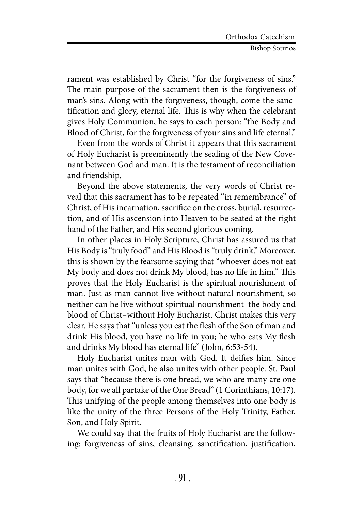rament was established by Christ "for the forgiveness of sins." The main purpose of the sacrament then is the forgiveness of man's sins. Along with the forgiveness, though, come the sanctification and glory, eternal life. This is why when the celebrant gives Holy Communion, he says to each person: "the Body and Blood of Christ, for the forgiveness of your sins and life eternal."

Even from the words of Christ it appears that this sacrament of Holy Eucharist is preeminently the sealing of the New Covenant between God and man. It is the testament of reconciliation and friendship.

Beyond the above statements, the very words of Christ reveal that this sacrament has to be repeated "in remembrance" of Christ, of His incarnation, sacrifice on the cross, burial, resurrection, and of His ascension into Heaven to be seated at the right hand of the Father, and His second glorious coming.

In other places in Holy Scripture, Christ has assured us that His Body is "truly food" and His Blood is "truly drink." Moreover, this is shown by the fearsome saying that "whoever does not eat My body and does not drink My blood, has no life in him." This proves that the Holy Eucharist is the spiritual nourishment of man. Just as man cannot live without natural nourishment, so neither can he live without spiritual nourishment–the body and blood of Christ–without Holy Eucharist. Christ makes this very clear. He says that "unless you eat the flesh of the Son of man and drink His blood, you have no life in you; he who eats My flesh and drinks My blood has eternal life" (John, 6:53-54).

Holy Eucharist unites man with God. It deifies him. Since man unites with God, he also unites with other people. St. Paul says that "because there is one bread, we who are many are one body, for we all partake of the One Bread" (1 Corinthians, 10:17). This unifying of the people among themselves into one body is like the unity of the three Persons of the Holy Trinity, Father, Son, and Holy Spirit.

We could say that the fruits of Holy Eucharist are the following: forgiveness of sins, cleansing, sanctification, justification,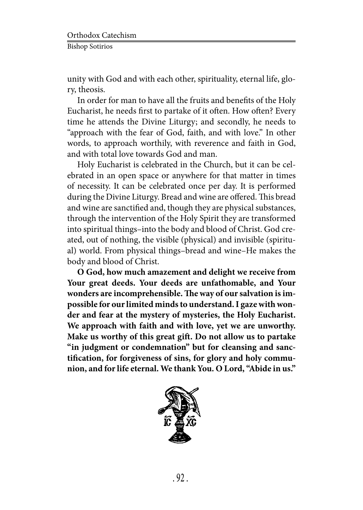unity with God and with each other, spirituality, eternal life, glory, theosis.

In order for man to have all the fruits and benefits of the Holy Eucharist, he needs first to partake of it often. How often? Every time he attends the Divine Liturgy; and secondly, he needs to "approach with the fear of God, faith, and with love." In other words, to approach worthily, with reverence and faith in God, and with total love towards God and man.

Holy Eucharist is celebrated in the Church, but it can be celebrated in an open space or anywhere for that matter in times of necessity. It can be celebrated once per day. It is performed during the Divine Liturgy. Bread and wine are offered. This bread and wine are sanctified and, though they are physical substances, through the intervention of the Holy Spirit they are transformed into spiritual things–into the body and blood of Christ. God created, out of nothing, the visible (physical) and invisible (spiritual) world. From physical things–bread and wine–He makes the body and blood of Christ.

**O God, how much amazement and delight we receive from Your great deeds. Your deeds are unfathomable, and Your wonders are incomprehensible. The way of our salvation is impossible for our limited minds to understand. I gaze with wonder and fear at the mystery of mysteries, the Holy Eucharist. We approach with faith and with love, yet we are unworthy. Make us worthy of this great gift. Do not allow us to partake "in judgment or condemnation" but for cleansing and sanctification, for forgiveness of sins, for glory and holy communion, and for life eternal. We thank You. O Lord, "Abide in us."**

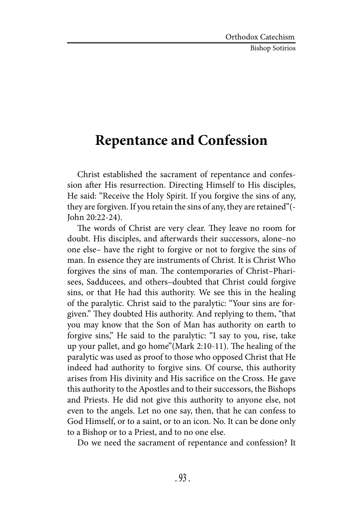#### **Repentance and Confession**

Christ established the sacrament of repentance and confession after His resurrection. Directing Himself to His disciples, He said: "Receive the Holy Spirit. If you forgive the sins of any, they are forgiven. If you retain the sins of any, they are retained"(- John 20:22-24).

The words of Christ are very clear. They leave no room for doubt. His disciples, and afterwards their successors, alone–no one else– have the right to forgive or not to forgive the sins of man. In essence they are instruments of Christ. It is Christ Who forgives the sins of man. The contemporaries of Christ–Pharisees, Sadducees, and others–doubted that Christ could forgive sins, or that He had this authority. We see this in the healing of the paralytic. Christ said to the paralytic: "Your sins are forgiven." They doubted His authority. And replying to them, "that you may know that the Son of Man has authority on earth to forgive sins," He said to the paralytic: "I say to you, rise, take up your pallet, and go home"(Mark 2:10-11). The healing of the paralytic was used as proof to those who opposed Christ that He indeed had authority to forgive sins. Of course, this authority arises from His divinity and His sacrifice on the Cross. He gave this authority to the Apostles and to their successors, the Bishops and Priests. He did not give this authority to anyone else, not even to the angels. Let no one say, then, that he can confess to God Himself, or to a saint, or to an icon. No. It can be done only to a Bishop or to a Priest, and to no one else.

Do we need the sacrament of repentance and confession? It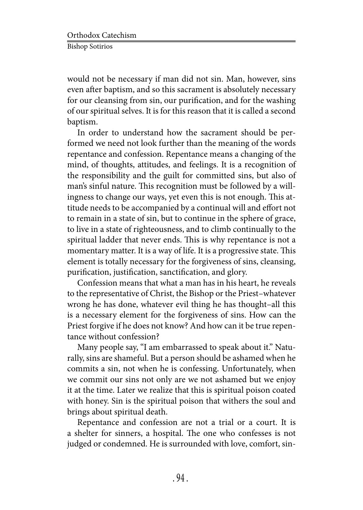would not be necessary if man did not sin. Man, however, sins even after baptism, and so this sacrament is absolutely necessary for our cleansing from sin, our purification, and for the washing of our spiritual selves. It is for this reason that it is called a second baptism.

In order to understand how the sacrament should be performed we need not look further than the meaning of the words repentance and confession. Repentance means a changing of the mind, of thoughts, attitudes, and feelings. It is a recognition of the responsibility and the guilt for committed sins, but also of man's sinful nature. This recognition must be followed by a willingness to change our ways, yet even this is not enough. This attitude needs to be accompanied by a continual will and effort not to remain in a state of sin, but to continue in the sphere of grace, to live in a state of righteousness, and to climb continually to the spiritual ladder that never ends. This is why repentance is not a momentary matter. It is a way of life. It is a progressive state. This element is totally necessary for the forgiveness of sins, cleansing, purification, justification, sanctification, and glory.

Confession means that what a man has in his heart, he reveals to the representative of Christ, the Bishop or the Priest–whatever wrong he has done, whatever evil thing he has thought–all this is a necessary element for the forgiveness of sins. How can the Priest forgive if he does not know? And how can it be true repentance without confession?

Many people say, "I am embarrassed to speak about it." Naturally, sins are shameful. But a person should be ashamed when he commits a sin, not when he is confessing. Unfortunately, when we commit our sins not only are we not ashamed but we enjoy it at the time. Later we realize that this is spiritual poison coated with honey. Sin is the spiritual poison that withers the soul and brings about spiritual death.

Repentance and confession are not a trial or a court. It is a shelter for sinners, a hospital. The one who confesses is not judged or condemned. He is surrounded with love, comfort, sin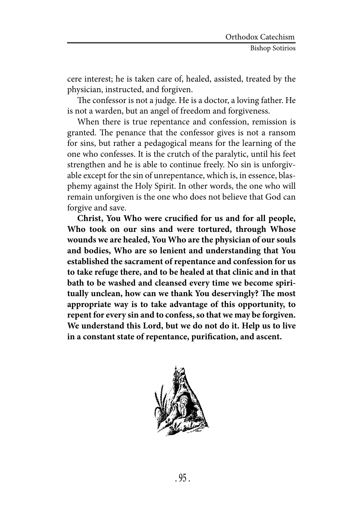cere interest; he is taken care of, healed, assisted, treated by the physician, instructed, and forgiven.

The confessor is not a judge. He is a doctor, a loving father. He is not a warden, but an angel of freedom and forgiveness.

When there is true repentance and confession, remission is granted. The penance that the confessor gives is not a ransom for sins, but rather a pedagogical means for the learning of the one who confesses. It is the crutch of the paralytic, until his feet strengthen and he is able to continue freely. No sin is unforgivable except for the sin of unrepentance, which is, in essence, blasphemy against the Holy Spirit. In other words, the one who will remain unforgiven is the one who does not believe that God can forgive and save.

**Christ, You Who were crucified for us and for all people, Who took on our sins and were tortured, through Whose wounds we are healed, You Who are the physician of our souls and bodies, Who are so lenient and understanding that You established the sacrament of repentance and confession for us to take refuge there, and to be healed at that clinic and in that bath to be washed and cleansed every time we become spiritually unclean, how can we thank You deservingly? The most appropriate way is to take advantage of this opportunity, to repent for every sin and to confess, so that we may be forgiven. We understand this Lord, but we do not do it. Help us to live in a constant state of repentance, purification, and ascent.**

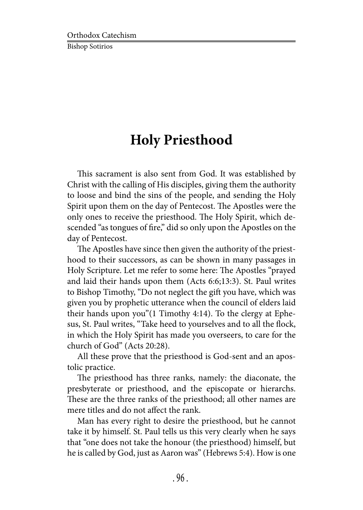### **Holy Priesthood**

This sacrament is also sent from God. It was established by Christ with the calling of His disciples, giving them the authority to loose and bind the sins of the people, and sending the Holy Spirit upon them on the day of Pentecost. The Apostles were the only ones to receive the priesthood. The Holy Spirit, which descended "as tongues of fire," did so only upon the Apostles on the day of Pentecost.

The Apostles have since then given the authority of the priesthood to their successors, as can be shown in many passages in Holy Scripture. Let me refer to some here: The Apostles "prayed and laid their hands upon them (Acts 6:6;13:3). St. Paul writes to Bishop Timothy, "Do not neglect the gift you have, which was given you by prophetic utterance when the council of elders laid their hands upon you"(1 Timothy 4:14). To the clergy at Ephesus, St. Paul writes, "Take heed to yourselves and to all the flock, in which the Holy Spirit has made you overseers, to care for the church of God" (Acts 20:28).

All these prove that the priesthood is God-sent and an apostolic practice.

The priesthood has three ranks, namely: the diaconate, the presbyterate or priesthood, and the episcopate or hierarchs. These are the three ranks of the priesthood; all other names are mere titles and do not affect the rank.

Man has every right to desire the priesthood, but he cannot take it by himself. St. Paul tells us this very clearly when he says that "one does not take the honour (the priesthood) himself, but he is called by God, just as Aaron was" (Hebrews 5:4). How is one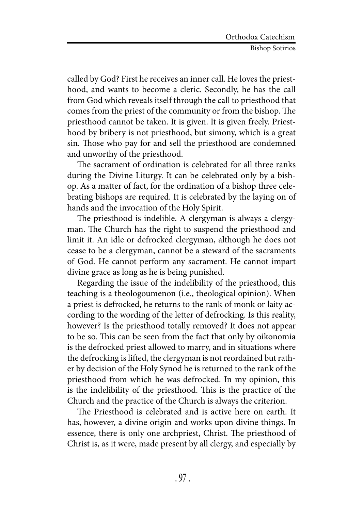called by God? First he receives an inner call. He loves the priesthood, and wants to become a cleric. Secondly, he has the call from God which reveals itself through the call to priesthood that comes from the priest of the community or from the bishop. The priesthood cannot be taken. It is given. It is given freely. Priesthood by bribery is not priesthood, but simony, which is a great sin. Those who pay for and sell the priesthood are condemned and unworthy of the priesthood.

The sacrament of ordination is celebrated for all three ranks during the Divine Liturgy. It can be celebrated only by a bishop. As a matter of fact, for the ordination of a bishop three celebrating bishops are required. It is celebrated by the laying on of hands and the invocation of the Holy Spirit.

The priesthood is indelible. A clergyman is always a clergyman. The Church has the right to suspend the priesthood and limit it. An idle or defrocked clergyman, although he does not cease to be a clergyman, cannot be a steward of the sacraments of God. He cannot perform any sacrament. He cannot impart divine grace as long as he is being punished.

Regarding the issue of the indelibility of the priesthood, this teaching is a theologoumenon (i.e., theological opinion). When a priest is defrocked, he returns to the rank of monk or laity according to the wording of the letter of defrocking. Is this reality, however? Is the priesthood totally removed? It does not appear to be so. This can be seen from the fact that only by oikonomia is the defrocked priest allowed to marry, and in situations where the defrocking is lifted, the clergyman is not reordained but rather by decision of the Holy Synod he is returned to the rank of the priesthood from which he was defrocked. In my opinion, this is the indelibility of the priesthood. This is the practice of the Church and the practice of the Church is always the criterion.

The Priesthood is celebrated and is active here on earth. It has, however, a divine origin and works upon divine things. In essence, there is only one archpriest, Christ. The priesthood of Christ is, as it were, made present by all clergy, and especially by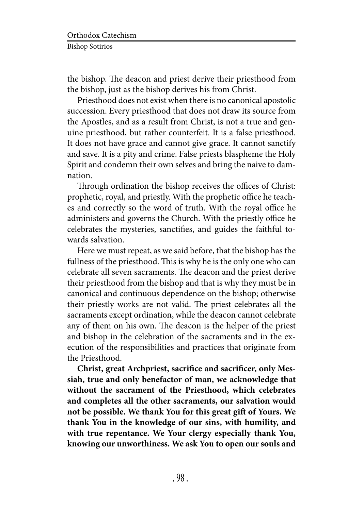the bishop. The deacon and priest derive their priesthood from the bishop, just as the bishop derives his from Christ.

Priesthood does not exist when there is no canonical apostolic succession. Every priesthood that does not draw its source from the Apostles, and as a result from Christ, is not a true and genuine priesthood, but rather counterfeit. It is a false priesthood. It does not have grace and cannot give grace. It cannot sanctify and save. It is a pity and crime. False priests blaspheme the Holy Spirit and condemn their own selves and bring the naive to damnation.

Through ordination the bishop receives the offices of Christ: prophetic, royal, and priestly. With the prophetic office he teaches and correctly so the word of truth. With the royal office he administers and governs the Church. With the priestly office he celebrates the mysteries, sanctifies, and guides the faithful towards salvation.

Here we must repeat, as we said before, that the bishop has the fullness of the priesthood. This is why he is the only one who can celebrate all seven sacraments. The deacon and the priest derive their priesthood from the bishop and that is why they must be in canonical and continuous dependence on the bishop; otherwise their priestly works are not valid. The priest celebrates all the sacraments except ordination, while the deacon cannot celebrate any of them on his own. The deacon is the helper of the priest and bishop in the celebration of the sacraments and in the execution of the responsibilities and practices that originate from the Priesthood.

**Christ, great Archpriest, sacrifice and sacrificer, only Messiah, true and only benefactor of man, we acknowledge that without the sacrament of the Priesthood, which celebrates and completes all the other sacraments, our salvation would not be possible. We thank You for this great gift of Yours. We thank You in the knowledge of our sins, with humility, and with true repentance. We Your clergy especially thank You, knowing our unworthiness. We ask You to open our souls and**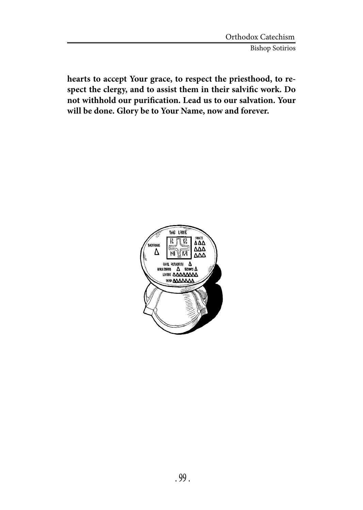**hearts to accept Your grace, to respect the priesthood, to respect the clergy, and to assist them in their salvific work. Do not withhold our purification. Lead us to our salvation. Your will be done. Glory be to Your Name, now and forever.**

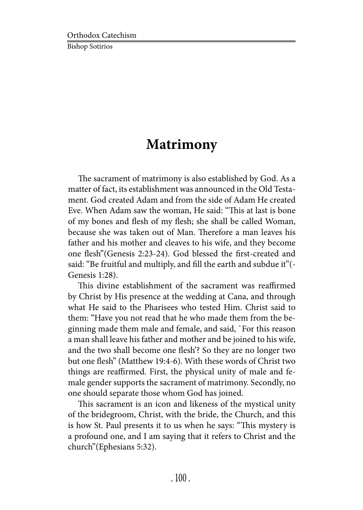### **Matrimony**

The sacrament of matrimony is also established by God. As a matter of fact, its establishment was announced in the Old Testament. God created Adam and from the side of Adam He created Eve. When Adam saw the woman, He said: "This at last is bone of my bones and flesh of my flesh; she shall be called Woman, because she was taken out of Man. Therefore a man leaves his father and his mother and cleaves to his wife, and they become one flesh"(Genesis 2:23-24). God blessed the first-created and said: "Be fruitful and multiply, and fill the earth and subdue it"(- Genesis 1:28).

This divine establishment of the sacrament was reaffirmed by Christ by His presence at the wedding at Cana, and through what He said to the Pharisees who tested Him. Christ said to them: "Have you not read that he who made them from the beginning made them male and female, and said, `For this reason a man shall leave his father and mother and be joined to his wife, and the two shall become one flesh'? So they are no longer two but one flesh" (Matthew 19:4-6). With these words of Christ two things are reaffirmed. First, the physical unity of male and female gender supports the sacrament of matrimony. Secondly, no one should separate those whom God has joined.

This sacrament is an icon and likeness of the mystical unity of the bridegroom, Christ, with the bride, the Church, and this is how St. Paul presents it to us when he says: "This mystery is a profound one, and I am saying that it refers to Christ and the church"(Ephesians 5:32).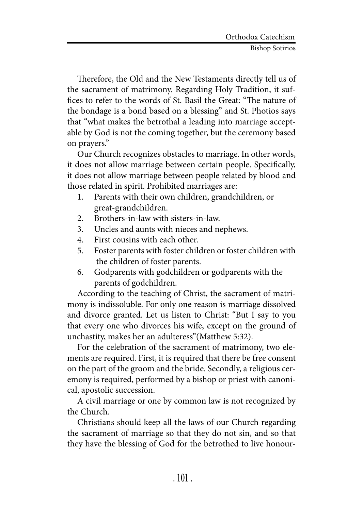Therefore, the Old and the New Testaments directly tell us of the sacrament of matrimony. Regarding Holy Tradition, it suffices to refer to the words of St. Basil the Great: "The nature of the bondage is a bond based on a blessing" and St. Photios says that "what makes the betrothal a leading into marriage acceptable by God is not the coming together, but the ceremony based on prayers."

Our Church recognizes obstacles to marriage. In other words, it does not allow marriage between certain people. Specifically, it does not allow marriage between people related by blood and those related in spirit. Prohibited marriages are:

- 1. Parents with their own children, grandchildren, or great-grandchildren.
- 2. Brothers-in-law with sisters-in-law.
- 3. Uncles and aunts with nieces and nephews.
- 4. First cousins with each other.
- 5. Foster parents with foster children or foster children with the children of foster parents.
- 6. Godparents with godchildren or godparents with the parents of godchildren.

According to the teaching of Christ, the sacrament of matrimony is indissoluble. For only one reason is marriage dissolved and divorce granted. Let us listen to Christ: "But I say to you that every one who divorces his wife, except on the ground of unchastity, makes her an adulteress"(Matthew 5:32).

For the celebration of the sacrament of matrimony, two elements are required. First, it is required that there be free consent on the part of the groom and the bride. Secondly, a religious ceremony is required, performed by a bishop or priest with canonical, apostolic succession.

A civil marriage or one by common law is not recognized by the Church.

Christians should keep all the laws of our Church regarding the sacrament of marriage so that they do not sin, and so that they have the blessing of God for the betrothed to live honour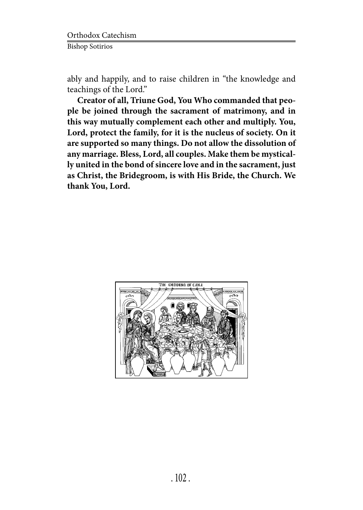ably and happily, and to raise children in "the knowledge and teachings of the Lord."

**Creator of all, Triune God, You Who commanded that people be joined through the sacrament of matrimony, and in this way mutually complement each other and multiply. You, Lord, protect the family, for it is the nucleus of society. On it are supported so many things. Do not allow the dissolution of any marriage. Bless, Lord, all couples. Make them be mystically united in the bond of sincere love and in the sacrament, just as Christ, the Bridegroom, is with His Bride, the Church. We thank You, Lord.**

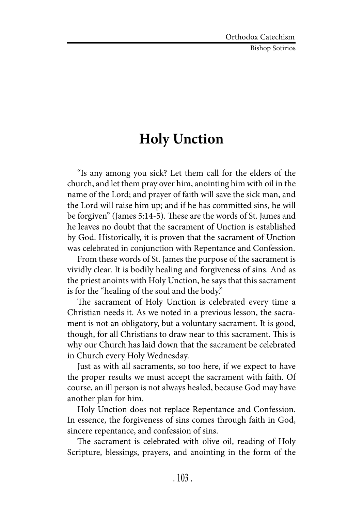# **Holy Unction**

"Is any among you sick? Let them call for the elders of the church, and let them pray over him, anointing him with oil in the name of the Lord; and prayer of faith will save the sick man, and the Lord will raise him up; and if he has committed sins, he will be forgiven" (James 5:14-5). These are the words of St. James and he leaves no doubt that the sacrament of Unction is established by God. Historically, it is proven that the sacrament of Unction was celebrated in conjunction with Repentance and Confession.

From these words of St. James the purpose of the sacrament is vividly clear. It is bodily healing and forgiveness of sins. And as the priest anoints with Holy Unction, he says that this sacrament is for the "healing of the soul and the body."

The sacrament of Holy Unction is celebrated every time a Christian needs it. As we noted in a previous lesson, the sacrament is not an obligatory, but a voluntary sacrament. It is good, though, for all Christians to draw near to this sacrament. This is why our Church has laid down that the sacrament be celebrated in Church every Holy Wednesday.

Just as with all sacraments, so too here, if we expect to have the proper results we must accept the sacrament with faith. Of course, an ill person is not always healed, because God may have another plan for him.

Holy Unction does not replace Repentance and Confession. In essence, the forgiveness of sins comes through faith in God, sincere repentance, and confession of sins.

The sacrament is celebrated with olive oil, reading of Holy Scripture, blessings, prayers, and anointing in the form of the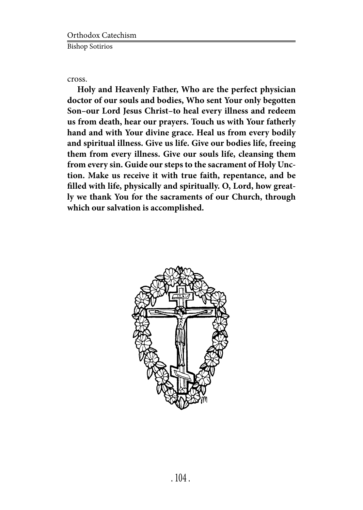cross.

**Holy and Heavenly Father, Who are the perfect physician doctor of our souls and bodies, Who sent Your only begotten Son–our Lord Jesus Christ–to heal every illness and redeem us from death, hear our prayers. Touch us with Your fatherly hand and with Your divine grace. Heal us from every bodily and spiritual illness. Give us life. Give our bodies life, freeing them from every illness. Give our souls life, cleansing them from every sin. Guide our steps to the sacrament of Holy Unction. Make us receive it with true faith, repentance, and be filled with life, physically and spiritually. O, Lord, how greatly we thank You for the sacraments of our Church, through which our salvation is accomplished.**

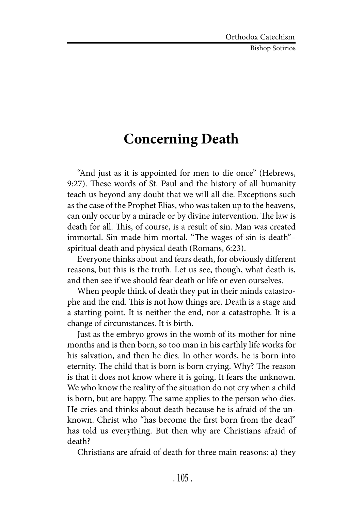### **Concerning Death**

"And just as it is appointed for men to die once" (Hebrews, 9:27). These words of St. Paul and the history of all humanity teach us beyond any doubt that we will all die. Exceptions such as the case of the Prophet Elias, who was taken up to the heavens, can only occur by a miracle or by divine intervention. The law is death for all. This, of course, is a result of sin. Man was created immortal. Sin made him mortal. "The wages of sin is death"– spiritual death and physical death (Romans, 6:23).

Everyone thinks about and fears death, for obviously different reasons, but this is the truth. Let us see, though, what death is, and then see if we should fear death or life or even ourselves.

When people think of death they put in their minds catastrophe and the end. This is not how things are. Death is a stage and a starting point. It is neither the end, nor a catastrophe. It is a change of circumstances. It is birth.

Just as the embryo grows in the womb of its mother for nine months and is then born, so too man in his earthly life works for his salvation, and then he dies. In other words, he is born into eternity. The child that is born is born crying. Why? The reason is that it does not know where it is going. It fears the unknown. We who know the reality of the situation do not cry when a child is born, but are happy. The same applies to the person who dies. He cries and thinks about death because he is afraid of the unknown. Christ who "has become the first born from the dead" has told us everything. But then why are Christians afraid of death?

Christians are afraid of death for three main reasons: a) they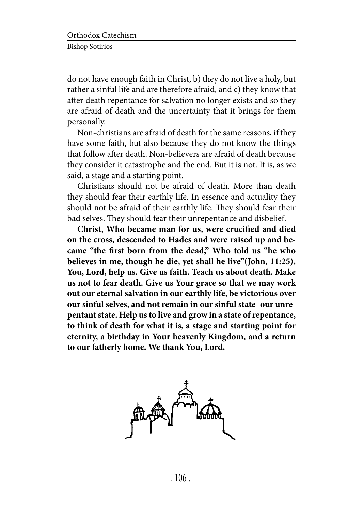do not have enough faith in Christ, b) they do not live a holy, but rather a sinful life and are therefore afraid, and c) they know that after death repentance for salvation no longer exists and so they are afraid of death and the uncertainty that it brings for them personally.

Non-christians are afraid of death for the same reasons, if they have some faith, but also because they do not know the things that follow after death. Non-believers are afraid of death because they consider it catastrophe and the end. But it is not. It is, as we said, a stage and a starting point.

Christians should not be afraid of death. More than death they should fear their earthly life. In essence and actuality they should not be afraid of their earthly life. They should fear their bad selves. They should fear their unrepentance and disbelief.

**Christ, Who became man for us, were crucified and died on the cross, descended to Hades and were raised up and became "the first born from the dead," Who told us "he who believes in me, though he die, yet shall he live"(John, 11:25), You, Lord, help us. Give us faith. Teach us about death. Make us not to fear death. Give us Your grace so that we may work out our eternal salvation in our earthly life, be victorious over our sinful selves, and not remain in our sinful state–our unrepentant state. Help us to live and grow in a state of repentance, to think of death for what it is, a stage and starting point for eternity, a birthday in Your heavenly Kingdom, and a return to our fatherly home. We thank You, Lord.**

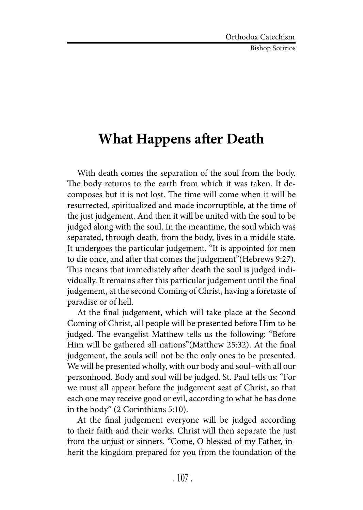### **What Happens after Death**

With death comes the separation of the soul from the body. The body returns to the earth from which it was taken. It decomposes but it is not lost. The time will come when it will be resurrected, spiritualized and made incorruptible, at the time of the just judgement. And then it will be united with the soul to be judged along with the soul. In the meantime, the soul which was separated, through death, from the body, lives in a middle state. It undergoes the particular judgement. "It is appointed for men to die once, and after that comes the judgement"(Hebrews 9:27). This means that immediately after death the soul is judged individually. It remains after this particular judgement until the final judgement, at the second Coming of Christ, having a foretaste of paradise or of hell.

At the final judgement, which will take place at the Second Coming of Christ, all people will be presented before Him to be judged. The evangelist Matthew tells us the following: "Before Him will be gathered all nations"(Matthew 25:32). At the final judgement, the souls will not be the only ones to be presented. We will be presented wholly, with our body and soul–with all our personhood. Body and soul will be judged. St. Paul tells us: "For we must all appear before the judgement seat of Christ, so that each one may receive good or evil, according to what he has done in the body" (2 Corinthians 5:10).

At the final judgement everyone will be judged according to their faith and their works. Christ will then separate the just from the unjust or sinners. "Come, O blessed of my Father, inherit the kingdom prepared for you from the foundation of the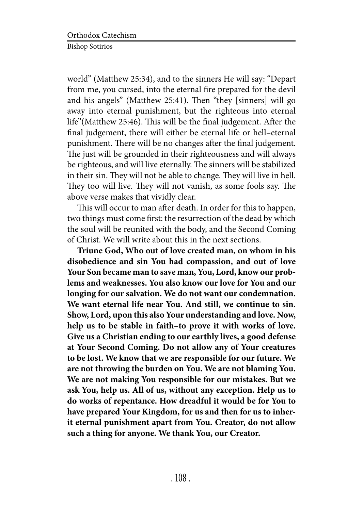world" (Matthew 25:34), and to the sinners He will say: "Depart from me, you cursed, into the eternal fire prepared for the devil and his angels" (Matthew 25:41). Then "they [sinners] will go away into eternal punishment, but the righteous into eternal life"(Matthew 25:46). This will be the final judgement. After the final judgement, there will either be eternal life or hell–eternal punishment. There will be no changes after the final judgement. The just will be grounded in their righteousness and will always be righteous, and will live eternally. The sinners will be stabilized in their sin. They will not be able to change. They will live in hell. They too will live. They will not vanish, as some fools say. The above verse makes that vividly clear.

This will occur to man after death. In order for this to happen, two things must come first: the resurrection of the dead by which the soul will be reunited with the body, and the Second Coming of Christ. We will write about this in the next sections.

**Triune God, Who out of love created man, on whom in his disobedience and sin You had compassion, and out of love Your Son became man to save man, You, Lord, know our problems and weaknesses. You also know our love for You and our longing for our salvation. We do not want our condemnation. We want eternal life near You. And still, we continue to sin. Show, Lord, upon this also Your understanding and love. Now, help us to be stable in faith–to prove it with works of love. Give us a Christian ending to our earthly lives, a good defense at Your Second Coming. Do not allow any of Your creatures to be lost. We know that we are responsible for our future. We are not throwing the burden on You. We are not blaming You. We are not making You responsible for our mistakes. But we ask You, help us. All of us, without any exception. Help us to do works of repentance. How dreadful it would be for You to have prepared Your Kingdom, for us and then for us to inherit eternal punishment apart from You. Creator, do not allow such a thing for anyone. We thank You, our Creator.**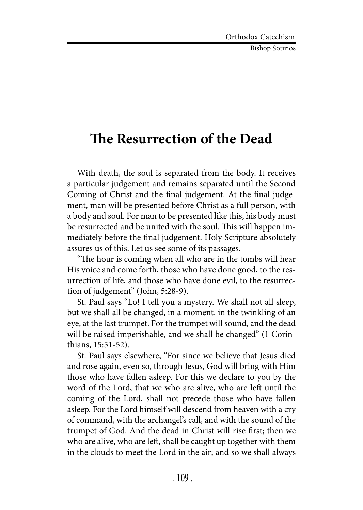Bishop Sotirios

## **The Resurrection of the Dead**

With death, the soul is separated from the body. It receives a particular judgement and remains separated until the Second Coming of Christ and the final judgement. At the final judgement, man will be presented before Christ as a full person, with a body and soul. For man to be presented like this, his body must be resurrected and be united with the soul. This will happen immediately before the final judgement. Holy Scripture absolutely assures us of this. Let us see some of its passages.

"The hour is coming when all who are in the tombs will hear His voice and come forth, those who have done good, to the resurrection of life, and those who have done evil, to the resurrection of judgement" (John, 5:28-9).

St. Paul says "Lo! I tell you a mystery. We shall not all sleep, but we shall all be changed, in a moment, in the twinkling of an eye, at the last trumpet. For the trumpet will sound, and the dead will be raised imperishable, and we shall be changed" (1 Corinthians, 15:51-52).

St. Paul says elsewhere, "For since we believe that Jesus died and rose again, even so, through Jesus, God will bring with Him those who have fallen asleep. For this we declare to you by the word of the Lord, that we who are alive, who are left until the coming of the Lord, shall not precede those who have fallen asleep. For the Lord himself will descend from heaven with a cry of command, with the archangel's call, and with the sound of the trumpet of God. And the dead in Christ will rise first; then we who are alive, who are left, shall be caught up together with them in the clouds to meet the Lord in the air; and so we shall always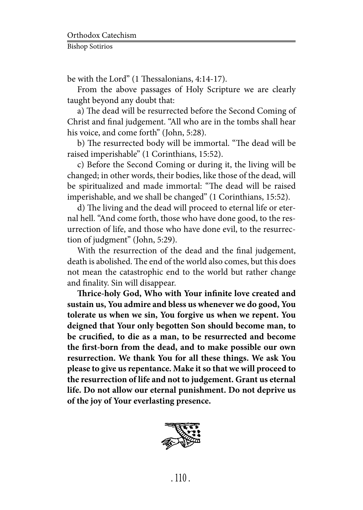be with the Lord" (1 Thessalonians, 4:14-17).

From the above passages of Holy Scripture we are clearly taught beyond any doubt that:

a) The dead will be resurrected before the Second Coming of Christ and final judgement. "All who are in the tombs shall hear his voice, and come forth" (John, 5:28).

b) The resurrected body will be immortal. "The dead will be raised imperishable" (1 Corinthians, 15:52).

c) Before the Second Coming or during it, the living will be changed; in other words, their bodies, like those of the dead, will be spiritualized and made immortal: "The dead will be raised imperishable, and we shall be changed" (1 Corinthians, 15:52).

d) The living and the dead will proceed to eternal life or eternal hell. "And come forth, those who have done good, to the resurrection of life, and those who have done evil, to the resurrection of judgment" (John, 5:29).

With the resurrection of the dead and the final judgement, death is abolished. The end of the world also comes, but this does not mean the catastrophic end to the world but rather change and finality. Sin will disappear.

**Thrice-holy God, Who with Your infinite love created and sustain us, You admire and bless us whenever we do good, You tolerate us when we sin, You forgive us when we repent. You deigned that Your only begotten Son should become man, to be crucified, to die as a man, to be resurrected and become the first-born from the dead, and to make possible our own resurrection. We thank You for all these things. We ask You please to give us repentance. Make it so that we will proceed to the resurrection of life and not to judgement. Grant us eternal life. Do not allow our eternal punishment. Do not deprive us of the joy of Your everlasting presence.**

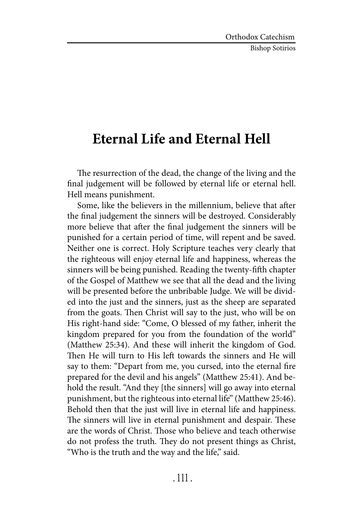Bishop Sotirios

## **Eternal Life and Eternal Hell**

The resurrection of the dead, the change of the living and the final judgement will be followed by eternal life or eternal hell. Hell means punishment.

Some, like the believers in the millennium, believe that after the final judgement the sinners will be destroyed. Considerably more believe that after the final judgement the sinners will be punished for a certain period of time, will repent and be saved. Neither one is correct. Holy Scripture teaches very clearly that the righteous will enjoy eternal life and happiness, whereas the sinners will be being punished. Reading the twenty-fifth chapter of the Gospel of Matthew we see that all the dead and the living will be presented before the unbribable Judge. We will be divided into the just and the sinners, just as the sheep are separated from the goats. Then Christ will say to the just, who will be on His right-hand side: "Come, O blessed of my father, inherit the kingdom prepared for you from the foundation of the world" (Matthew 25:34). And these will inherit the kingdom of God. Then He will turn to His left towards the sinners and He will say to them: "Depart from me, you cursed, into the eternal fire prepared for the devil and his angels" (Matthew 25:41). And behold the result. "And they [the sinners] will go away into eternal punishment, but the righteous into eternal life" (Matthew 25:46). Behold then that the just will live in eternal life and happiness. The sinners will live in eternal punishment and despair. These are the words of Christ. Those who believe and teach otherwise do not profess the truth. They do not present things as Christ, "Who is the truth and the way and the life," said.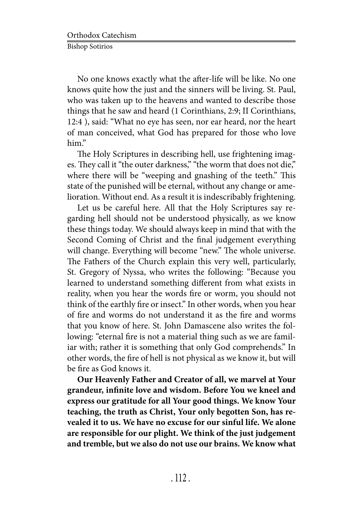No one knows exactly what the after-life will be like. No one knows quite how the just and the sinners will be living. St. Paul, who was taken up to the heavens and wanted to describe those things that he saw and heard (1 Corinthians, 2:9; II Corinthians, 12:4 ), said: "What no eye has seen, nor ear heard, nor the heart of man conceived, what God has prepared for those who love him."

The Holy Scriptures in describing hell, use frightening images. They call it "the outer darkness," "the worm that does not die," where there will be "weeping and gnashing of the teeth." This state of the punished will be eternal, without any change or amelioration. Without end. As a result it is indescribably frightening.

Let us be careful here. All that the Holy Scriptures say regarding hell should not be understood physically, as we know these things today. We should always keep in mind that with the Second Coming of Christ and the final judgement everything will change. Everything will become "new." The whole universe. The Fathers of the Church explain this very well, particularly, St. Gregory of Nyssa, who writes the following: "Because you learned to understand something different from what exists in reality, when you hear the words fire or worm, you should not think of the earthly fire or insect." In other words, when you hear of fire and worms do not understand it as the fire and worms that you know of here. St. John Damascene also writes the following: "eternal fire is not a material thing such as we are familiar with; rather it is something that only God comprehends." In other words, the fire of hell is not physical as we know it, but will be fire as God knows it.

**Our Heavenly Father and Creator of all, we marvel at Your grandeur, infinite love and wisdom. Before You we kneel and express our gratitude for all Your good things. We know Your teaching, the truth as Christ, Your only begotten Son, has revealed it to us. We have no excuse for our sinful life. We alone are responsible for our plight. We think of the just judgement and tremble, but we also do not use our brains. We know what**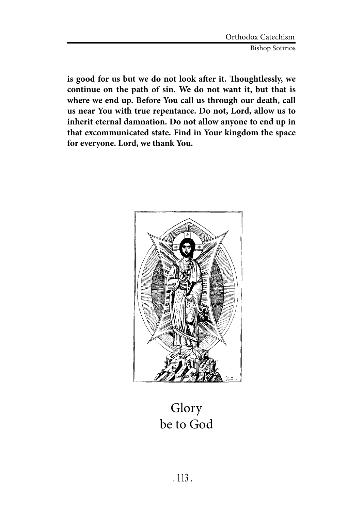**is good for us but we do not look after it. Thoughtlessly, we continue on the path of sin. We do not want it, but that is where we end up. Before You call us through our death, call us near You with true repentance. Do not, Lord, allow us to inherit eternal damnation. Do not allow anyone to end up in that excommunicated state. Find in Your kingdom the space for everyone. Lord, we thank You.**



Glory be to God